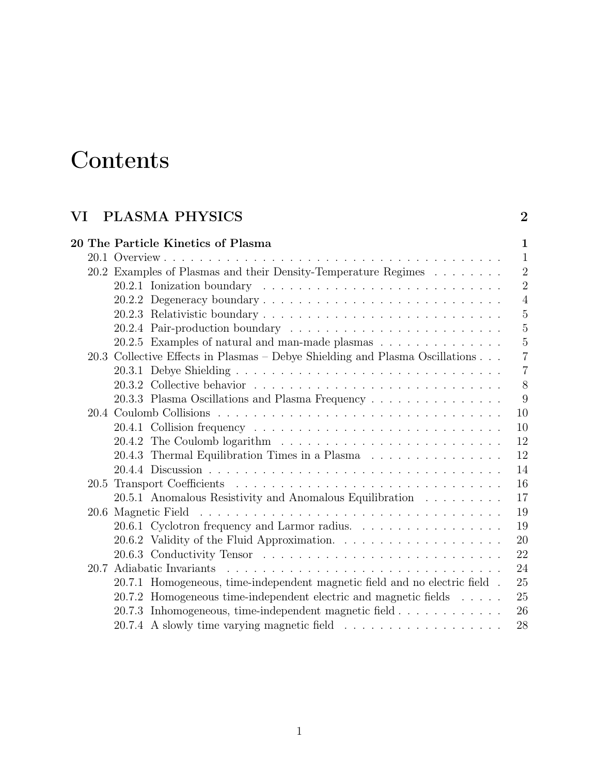# **Contents**

# VI PLASMA PHYSICS 2

|  | 20 The Particle Kinetics of Plasma                                           |                |  |  |  |  |  |  |  |
|--|------------------------------------------------------------------------------|----------------|--|--|--|--|--|--|--|
|  |                                                                              | $\mathbf{1}$   |  |  |  |  |  |  |  |
|  | 20.2 Examples of Plasmas and their Density-Temperature Regimes               | $\overline{2}$ |  |  |  |  |  |  |  |
|  |                                                                              | $\overline{2}$ |  |  |  |  |  |  |  |
|  |                                                                              | $\overline{4}$ |  |  |  |  |  |  |  |
|  |                                                                              | 5              |  |  |  |  |  |  |  |
|  | 20.2.4 Pair-production boundary                                              | $\overline{5}$ |  |  |  |  |  |  |  |
|  | 20.2.5 Examples of natural and man-made plasmas                              | $\overline{5}$ |  |  |  |  |  |  |  |
|  | 20.3 Collective Effects in Plasmas – Debye Shielding and Plasma Oscillations | $\overline{7}$ |  |  |  |  |  |  |  |
|  |                                                                              | $\overline{7}$ |  |  |  |  |  |  |  |
|  |                                                                              | 8              |  |  |  |  |  |  |  |
|  |                                                                              | 9              |  |  |  |  |  |  |  |
|  |                                                                              | 10             |  |  |  |  |  |  |  |
|  |                                                                              | 10             |  |  |  |  |  |  |  |
|  |                                                                              | 12             |  |  |  |  |  |  |  |
|  | 20.4.3 Thermal Equilibration Times in a Plasma                               | 12             |  |  |  |  |  |  |  |
|  |                                                                              | 14             |  |  |  |  |  |  |  |
|  |                                                                              |                |  |  |  |  |  |  |  |
|  | 20.5.1 Anomalous Resistivity and Anomalous Equilibration                     | 17             |  |  |  |  |  |  |  |
|  |                                                                              | 19             |  |  |  |  |  |  |  |
|  | 20.6.1 Cyclotron frequency and Larmor radius.                                | 19             |  |  |  |  |  |  |  |
|  |                                                                              | 20             |  |  |  |  |  |  |  |
|  |                                                                              | 22             |  |  |  |  |  |  |  |
|  |                                                                              | 24             |  |  |  |  |  |  |  |
|  | 20.7.1 Homogeneous, time-independent magnetic field and no electric field.   | 25             |  |  |  |  |  |  |  |
|  | 20.7.2 Homogeneous time-independent electric and magnetic fields             | 25             |  |  |  |  |  |  |  |
|  | 20.7.3 Inhomogeneous, time-independent magnetic field                        | 26             |  |  |  |  |  |  |  |
|  |                                                                              | 28             |  |  |  |  |  |  |  |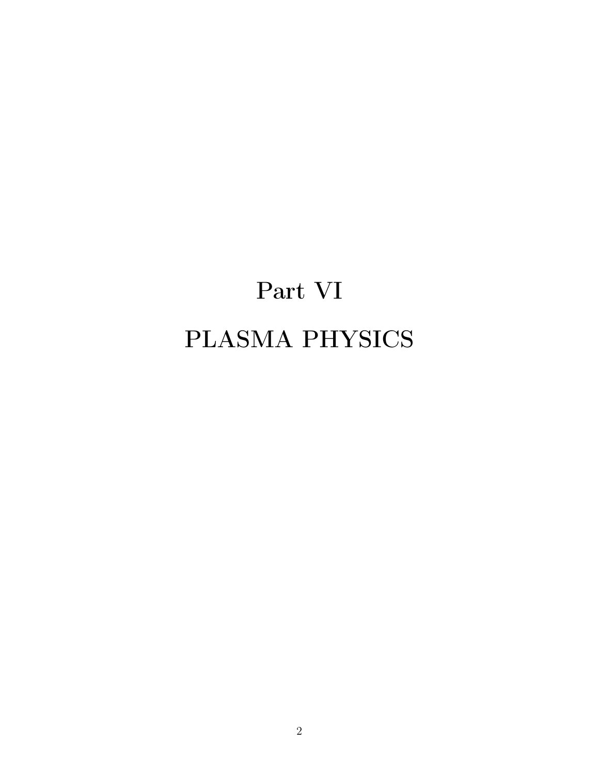# Part VI PLASMA PHYSICS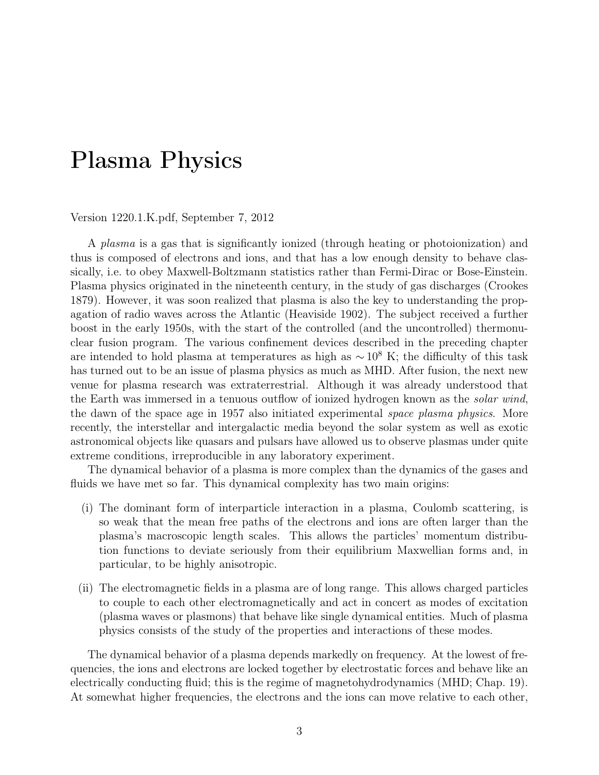# Plasma Physics

#### Version 1220.1.K.pdf, September 7, 2012

A plasma is a gas that is significantly ionized (through heating or photoionization) and thus is composed of electrons and ions, and that has a low enough density to behave classically, i.e. to obey Maxwell-Boltzmann statistics rather than Fermi-Dirac or Bose-Einstein. Plasma physics originated in the nineteenth century, in the study of gas discharges (Crookes 1879). However, it was soon realized that plasma is also the key to understanding the propagation of radio waves across the Atlantic (Heaviside 1902). The subject received a further boost in the early 1950s, with the start of the controlled (and the uncontrolled) thermonuclear fusion program. The various confinement devices described in the preceding chapter are intended to hold plasma at temperatures as high as  $\sim 10^8$  K; the difficulty of this task has turned out to be an issue of plasma physics as much as MHD. After fusion, the next new venue for plasma research was extraterrestrial. Although it was already understood that the Earth was immersed in a tenuous outflow of ionized hydrogen known as the solar wind, the dawn of the space age in 1957 also initiated experimental space plasma physics. More recently, the interstellar and intergalactic media beyond the solar system as well as exotic astronomical objects like quasars and pulsars have allowed us to observe plasmas under quite extreme conditions, irreproducible in any laboratory experiment.

The dynamical behavior of a plasma is more complex than the dynamics of the gases and fluids we have met so far. This dynamical complexity has two main origins:

- (i) The dominant form of interparticle interaction in a plasma, Coulomb scattering, is so weak that the mean free paths of the electrons and ions are often larger than the plasma's macroscopic length scales. This allows the particles' momentum distribution functions to deviate seriously from their equilibrium Maxwellian forms and, in particular, to be highly anisotropic.
- (ii) The electromagnetic fields in a plasma are of long range. This allows charged particles to couple to each other electromagnetically and act in concert as modes of excitation (plasma waves or plasmons) that behave like single dynamical entities. Much of plasma physics consists of the study of the properties and interactions of these modes.

The dynamical behavior of a plasma depends markedly on frequency. At the lowest of frequencies, the ions and electrons are locked together by electrostatic forces and behave like an electrically conducting fluid; this is the regime of magnetohydrodynamics (MHD; Chap. 19). At somewhat higher frequencies, the electrons and the ions can move relative to each other,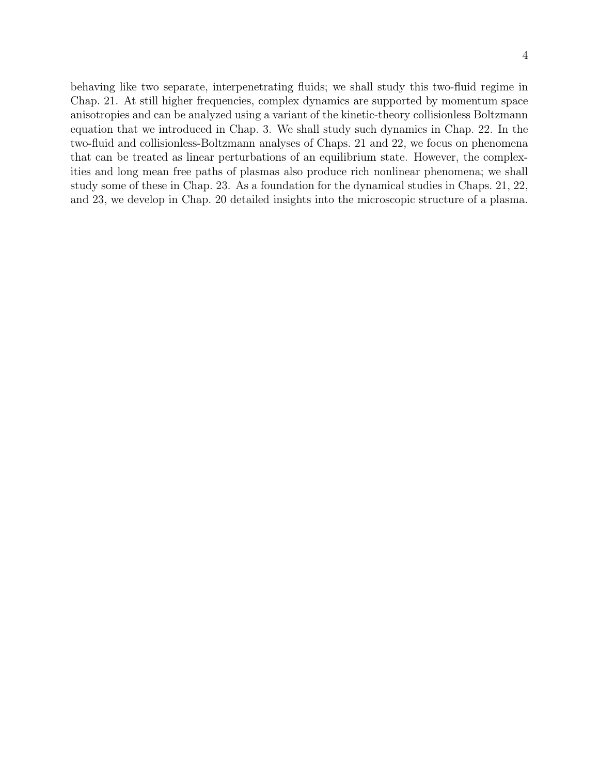behaving like two separate, interpenetrating fluids; we shall study this two-fluid regime in Chap. 21. At still higher frequencies, complex dynamics are supported by momentum space anisotropies and can be analyzed using a variant of the kinetic-theory collisionless Boltzmann equation that we introduced in Chap. 3. We shall study such dynamics in Chap. 22. In the two-fluid and collisionless-Boltzmann analyses of Chaps. 21 and 22, we focus on phenomena that can be treated as linear perturbations of an equilibrium state. However, the complexities and long mean free paths of plasmas also produce rich nonlinear phenomena; we shall study some of these in Chap. 23. As a foundation for the dynamical studies in Chaps. 21, 22, and 23, we develop in Chap. 20 detailed insights into the microscopic structure of a plasma.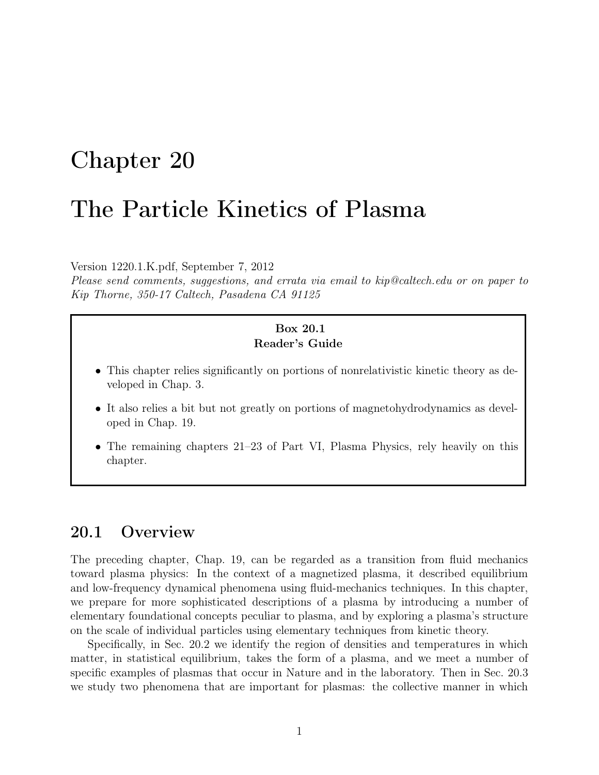# Chapter 20

# The Particle Kinetics of Plasma

Version 1220.1.K.pdf, September 7, 2012

Please send comments, suggestions, and errata via email to kip@caltech.edu or on paper to Kip Thorne, 350-17 Caltech, Pasadena CA 91125

#### Box 20.1 Reader's Guide

- This chapter relies significantly on portions of nonrelativistic kinetic theory as developed in Chap. 3.
- It also relies a bit but not greatly on portions of magnetohydrodynamics as developed in Chap. 19.
- The remaining chapters 21–23 of Part VI, Plasma Physics, rely heavily on this chapter.

# 20.1 Overview

The preceding chapter, Chap. 19, can be regarded as a transition from fluid mechanics toward plasma physics: In the context of a magnetized plasma, it described equilibrium and low-frequency dynamical phenomena using fluid-mechanics techniques. In this chapter, we prepare for more sophisticated descriptions of a plasma by introducing a number of elementary foundational concepts peculiar to plasma, and by exploring a plasma's structure on the scale of individual particles using elementary techniques from kinetic theory.

Specifically, in Sec. 20.2 we identify the region of densities and temperatures in which matter, in statistical equilibrium, takes the form of a plasma, and we meet a number of specific examples of plasmas that occur in Nature and in the laboratory. Then in Sec. 20.3 we study two phenomena that are important for plasmas: the collective manner in which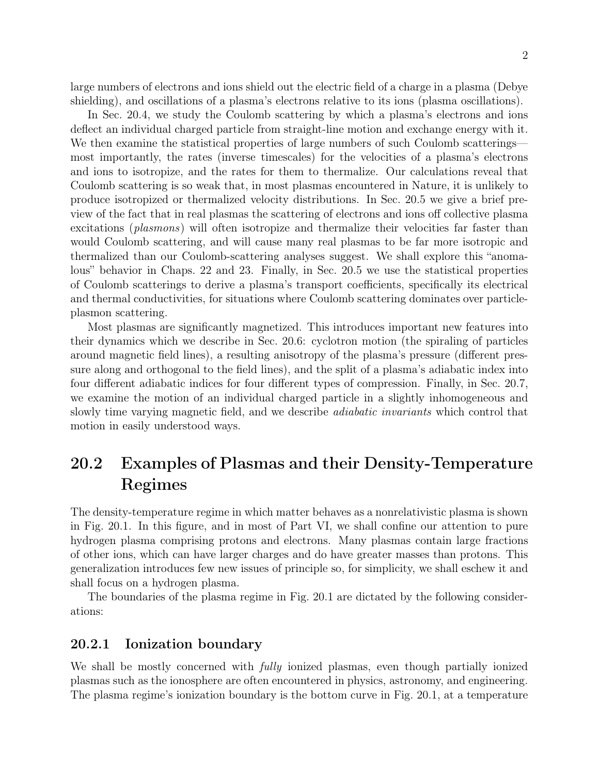large numbers of electrons and ions shield out the electric field of a charge in a plasma (Debye shielding), and oscillations of a plasma's electrons relative to its ions (plasma oscillations).

In Sec. 20.4, we study the Coulomb scattering by which a plasma's electrons and ions deflect an individual charged particle from straight-line motion and exchange energy with it. We then examine the statistical properties of large numbers of such Coulomb scatterings most importantly, the rates (inverse timescales) for the velocities of a plasma's electrons and ions to isotropize, and the rates for them to thermalize. Our calculations reveal that Coulomb scattering is so weak that, in most plasmas encountered in Nature, it is unlikely to produce isotropized or thermalized velocity distributions. In Sec. 20.5 we give a brief preview of the fact that in real plasmas the scattering of electrons and ions off collective plasma excitations *(plasmons)* will often isotropize and thermalize their velocities far faster than would Coulomb scattering, and will cause many real plasmas to be far more isotropic and thermalized than our Coulomb-scattering analyses suggest. We shall explore this "anomalous" behavior in Chaps. 22 and 23. Finally, in Sec. 20.5 we use the statistical properties of Coulomb scatterings to derive a plasma's transport coefficients, specifically its electrical and thermal conductivities, for situations where Coulomb scattering dominates over particleplasmon scattering.

Most plasmas are significantly magnetized. This introduces important new features into their dynamics which we describe in Sec. 20.6: cyclotron motion (the spiraling of particles around magnetic field lines), a resulting anisotropy of the plasma's pressure (different pressure along and orthogonal to the field lines), and the split of a plasma's adiabatic index into four different adiabatic indices for four different types of compression. Finally, in Sec. 20.7, we examine the motion of an individual charged particle in a slightly inhomogeneous and slowly time varying magnetic field, and we describe *adiabatic invariants* which control that motion in easily understood ways.

# 20.2 Examples of Plasmas and their Density-Temperature Regimes

The density-temperature regime in which matter behaves as a nonrelativistic plasma is shown in Fig. 20.1. In this figure, and in most of Part VI, we shall confine our attention to pure hydrogen plasma comprising protons and electrons. Many plasmas contain large fractions of other ions, which can have larger charges and do have greater masses than protons. This generalization introduces few new issues of principle so, for simplicity, we shall eschew it and shall focus on a hydrogen plasma.

The boundaries of the plasma regime in Fig. 20.1 are dictated by the following considerations:

#### 20.2.1 Ionization boundary

We shall be mostly concerned with *fully* ionized plasmas, even though partially ionized plasmas such as the ionosphere are often encountered in physics, astronomy, and engineering. The plasma regime's ionization boundary is the bottom curve in Fig. 20.1, at a temperature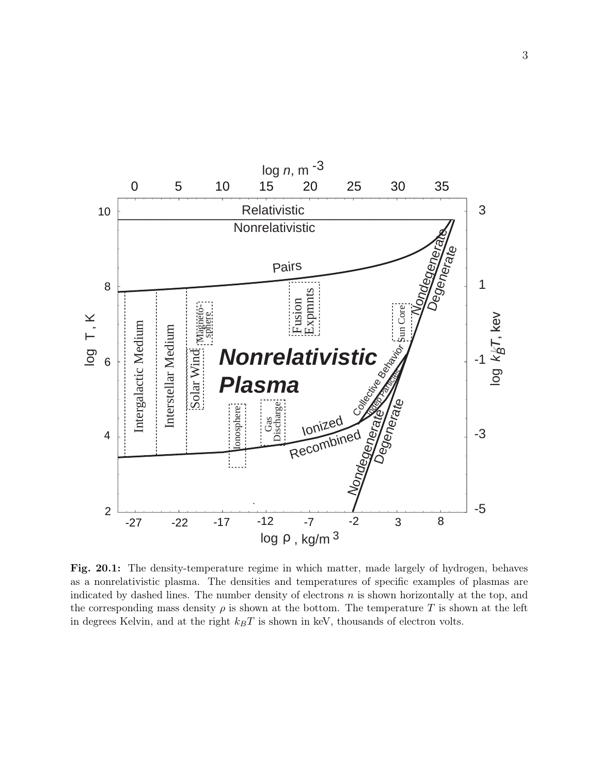

Fig. 20.1: The density-temperature regime in which matter, made largely of hydrogen, behaves as a nonrelativistic plasma. The densities and temperatures of specific examples of plasmas are indicated by dashed lines. The number density of electrons  $n$  is shown horizontally at the top, and the corresponding mass density  $\rho$  is shown at the bottom. The temperature T is shown at the left in degrees Kelvin, and at the right  $k_BT$  is shown in keV, thousands of electron volts.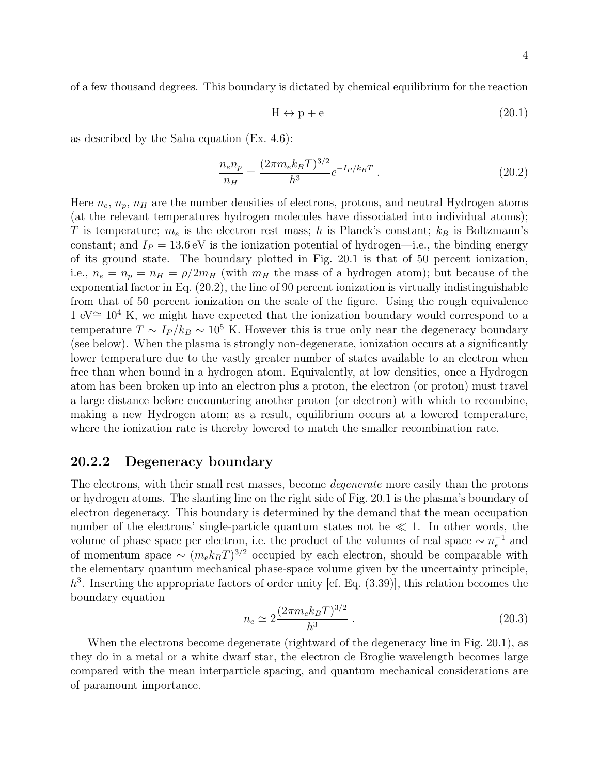of a few thousand degrees. This boundary is dictated by chemical equilibrium for the reaction

$$
H \leftrightarrow p + e \tag{20.1}
$$

as described by the Saha equation (Ex. 4.6):

$$
\frac{n_e n_p}{n_H} = \frac{(2\pi m_e k_B T)^{3/2}}{h^3} e^{-I_P/k_B T} \tag{20.2}
$$

Here  $n_e$ ,  $n_p$ ,  $n_H$  are the number densities of electrons, protons, and neutral Hydrogen atoms (at the relevant temperatures hydrogen molecules have dissociated into individual atoms); T is temperature;  $m_e$  is the electron rest mass; h is Planck's constant;  $k_B$  is Boltzmann's constant; and  $I_P = 13.6$  eV is the ionization potential of hydrogen—i.e., the binding energy of its ground state. The boundary plotted in Fig. 20.1 is that of 50 percent ionization, i.e.,  $n_e = n_p = n_H = \rho/2m_H$  (with  $m_H$  the mass of a hydrogen atom); but because of the exponential factor in Eq. (20.2), the line of 90 percent ionization is virtually indistinguishable from that of 50 percent ionization on the scale of the figure. Using the rough equivalence 1 eV≅  $10<sup>4</sup>$  K, we might have expected that the ionization boundary would correspond to a temperature  $T \sim I_P / k_B \sim 10^5$  K. However this is true only near the degeneracy boundary (see below). When the plasma is strongly non-degenerate, ionization occurs at a significantly lower temperature due to the vastly greater number of states available to an electron when free than when bound in a hydrogen atom. Equivalently, at low densities, once a Hydrogen atom has been broken up into an electron plus a proton, the electron (or proton) must travel a large distance before encountering another proton (or electron) with which to recombine, making a new Hydrogen atom; as a result, equilibrium occurs at a lowered temperature, where the ionization rate is thereby lowered to match the smaller recombination rate.

#### 20.2.2 Degeneracy boundary

The electrons, with their small rest masses, become *degenerate* more easily than the protons or hydrogen atoms. The slanting line on the right side of Fig. 20.1 is the plasma's boundary of electron degeneracy. This boundary is determined by the demand that the mean occupation number of the electrons' single-particle quantum states not be  $\ll 1$ . In other words, the volume of phase space per electron, i.e. the product of the volumes of real space  $\sim n_e^{-1}$  and of momentum space  $\sim (m_e k_B T)^{3/2}$  occupied by each electron, should be comparable with the elementary quantum mechanical phase-space volume given by the uncertainty principle,  $h^3$ . Inserting the appropriate factors of order unity [cf. Eq.  $(3.39)$ ], this relation becomes the boundary equation

$$
n_e \simeq 2 \frac{(2\pi m_e k_B T)^{3/2}}{h^3} \,. \tag{20.3}
$$

When the electrons become degenerate (rightward of the degeneracy line in Fig. 20.1), as they do in a metal or a white dwarf star, the electron de Broglie wavelength becomes large compared with the mean interparticle spacing, and quantum mechanical considerations are of paramount importance.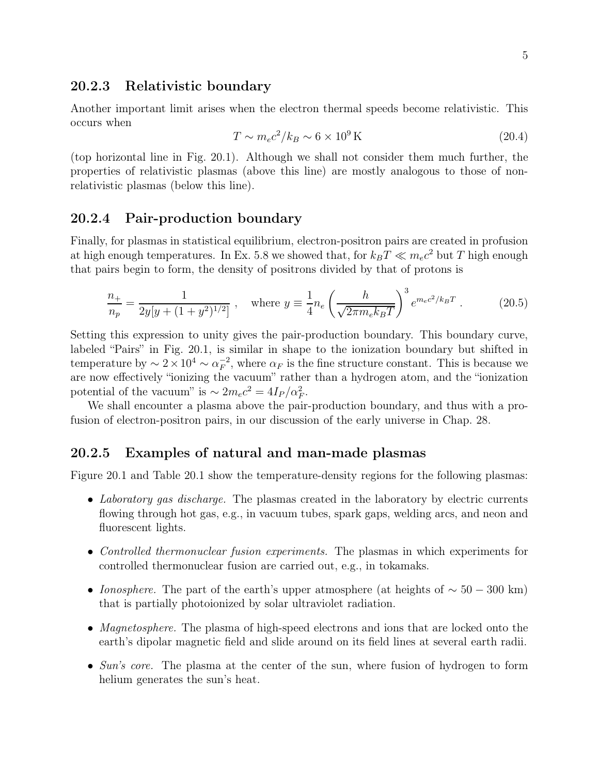#### 20.2.3 Relativistic boundary

Another important limit arises when the electron thermal speeds become relativistic. This occurs when

$$
T \sim m_e c^2 / k_B \sim 6 \times 10^9 \,\mathrm{K} \tag{20.4}
$$

(top horizontal line in Fig. 20.1). Although we shall not consider them much further, the properties of relativistic plasmas (above this line) are mostly analogous to those of nonrelativistic plasmas (below this line).

#### 20.2.4 Pair-production boundary

Finally, for plasmas in statistical equilibrium, electron-positron pairs are created in profusion at high enough temperatures. In Ex. 5.8 we showed that, for  $k_B T \ll m_e c^2$  but T high enough that pairs begin to form, the density of positrons divided by that of protons is

$$
\frac{n_+}{n_p} = \frac{1}{2y[y + (1 + y^2)^{1/2}]}, \quad \text{where } y \equiv \frac{1}{4}n_e \left(\frac{h}{\sqrt{2\pi m_e k_B T}}\right)^3 e^{m_e c^2 / k_B T}.
$$
 (20.5)

Setting this expression to unity gives the pair-production boundary. This boundary curve, labeled "Pairs" in Fig. 20.1, is similar in shape to the ionization boundary but shifted in temperature by  $\sim 2 \times 10^4 \sim \alpha_F^{-2}$ , where  $\alpha_F$  is the fine structure constant. This is because we are now effectively "ionizing the vacuum" rather than a hydrogen atom, and the "ionization potential of the vacuum" is  $\sim 2m_ec^2 = 4I_P/\alpha_F^2$ .

We shall encounter a plasma above the pair-production boundary, and thus with a profusion of electron-positron pairs, in our discussion of the early universe in Chap. 28.

#### 20.2.5 Examples of natural and man-made plasmas

Figure 20.1 and Table 20.1 show the temperature-density regions for the following plasmas:

- Laboratory gas discharge. The plasmas created in the laboratory by electric currents flowing through hot gas, e.g., in vacuum tubes, spark gaps, welding arcs, and neon and fluorescent lights.
- Controlled thermonuclear fusion experiments. The plasmas in which experiments for controlled thermonuclear fusion are carried out, e.g., in tokamaks.
- Ionosphere. The part of the earth's upper atmosphere (at heights of  $\sim 50 300$  km) that is partially photoionized by solar ultraviolet radiation.
- *Magnetosphere*. The plasma of high-speed electrons and ions that are locked onto the earth's dipolar magnetic field and slide around on its field lines at several earth radii.
- Sun's core. The plasma at the center of the sun, where fusion of hydrogen to form helium generates the sun's heat.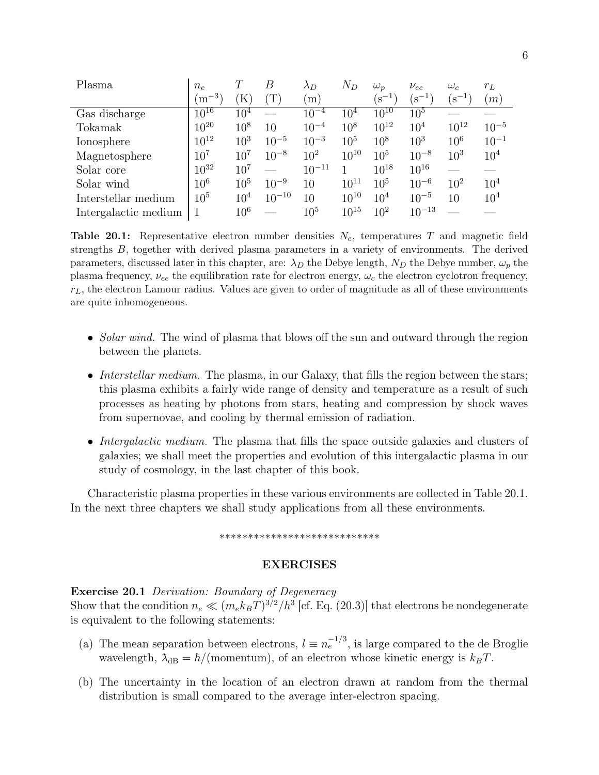| Plasma               | $n_e$     |                 | В          | $\lambda_D$ | $N_D$     | $\omega_n$      | $\nu_{ee}$        | $\omega_c$ | $r_L$     |
|----------------------|-----------|-----------------|------------|-------------|-----------|-----------------|-------------------|------------|-----------|
|                      | $-3$<br>m | K               | $\rm (T)$  | m           |           | $(S^{-1})$      | $\mathrm{s}^{-1}$ | $s^{-1}$   | m         |
| Gas discharge        | $10^{16}$ | $10^4$          |            | $10^{-4}$   | $10^{4}$  | $10^{10}$       | $10^{5}$          |            |           |
| Tokamak              | $10^{20}$ | $10^{8}$        | 10         | $10^{-4}$   | $10^{8}$  | $10^{12}$       | $10^{4}$          | $10^{12}$  | $10^{-5}$ |
| Ionosphere           | $10^{12}$ | $10^{3}$        | $10^{-5}$  | $10^{-3}$   | $10^{5}$  | $10^{8}$        | $10^{3}$          | $10^6$     | $10^{-1}$ |
| Magnetosphere        | $10^7$    | $10^{7}$        | $10^{-8}$  | $10^{2}$    | $10^{10}$ | $10^{5}$        | $10^{-8}$         | $10^3$     | $10^{4}$  |
| Solar core           | $10^{32}$ | $10^{7}$        |            | $10^{-11}$  |           | $10^{18}$       | $10^{16}$         |            |           |
| Solar wind           | $10^{6}$  | $10^{5}$        | $10^{-9}$  | 10          | $10^{11}$ | $10^{5}$        | $10^{-6}$         | $10^{2}$   | $10^{4}$  |
| Interstellar medium  | $10^5$    | 10 <sup>4</sup> | $10^{-10}$ | 10          | $10^{10}$ | 10 <sup>4</sup> | $10^{-5}$         | 10         | $10^{4}$  |
| Intergalactic medium |           | $10^{6}$        |            | $10^5$      | $10^{15}$ | $10^{2}$        | $10^{-13}$        |            |           |

Table 20.1: Representative electron number densities  $N_e$ , temperatures T and magnetic field strengths B, together with derived plasma parameters in a variety of environments. The derived parameters, discussed later in this chapter, are:  $\lambda_D$  the Debye length,  $N_D$  the Debye number,  $\omega_p$  the plasma frequency,  $\nu_{ee}$  the equilibration rate for electron energy,  $\omega_c$  the electron cyclotron frequency,  $r<sub>L</sub>$ , the electron Lamour radius. Values are given to order of magnitude as all of these environments are quite inhomogeneous.

- Solar wind. The wind of plasma that blows off the sun and outward through the region between the planets.
- Interstellar medium. The plasma, in our Galaxy, that fills the region between the stars; this plasma exhibits a fairly wide range of density and temperature as a result of such processes as heating by photons from stars, heating and compression by shock waves from supernovae, and cooling by thermal emission of radiation.
- Intergalactic medium. The plasma that fills the space outside galaxies and clusters of galaxies; we shall meet the properties and evolution of this intergalactic plasma in our study of cosmology, in the last chapter of this book.

Characteristic plasma properties in these various environments are collected in Table 20.1. In the next three chapters we shall study applications from all these environments.

#### \*\*\*\*\*\*\*\*\*\*\*\*\*\*\*\*\*\*\*\*\*\*\*\*\*\*\*\*

#### EXERCISES

Exercise 20.1 Derivation: Boundary of Degeneracy

Show that the condition  $n_e \ll (m_e k_B T)^{3/2}/h^3$  [cf. Eq. (20.3)] that electrons be nondegenerate is equivalent to the following statements:

- (a) The mean separation between electrons,  $l \equiv n_e^{-1/3}$ , is large compared to the de Broglie wavelength,  $\lambda_{dB} = \hbar/(momentum)$ , of an electron whose kinetic energy is  $k_BT$ .
- (b) The uncertainty in the location of an electron drawn at random from the thermal distribution is small compared to the average inter-electron spacing.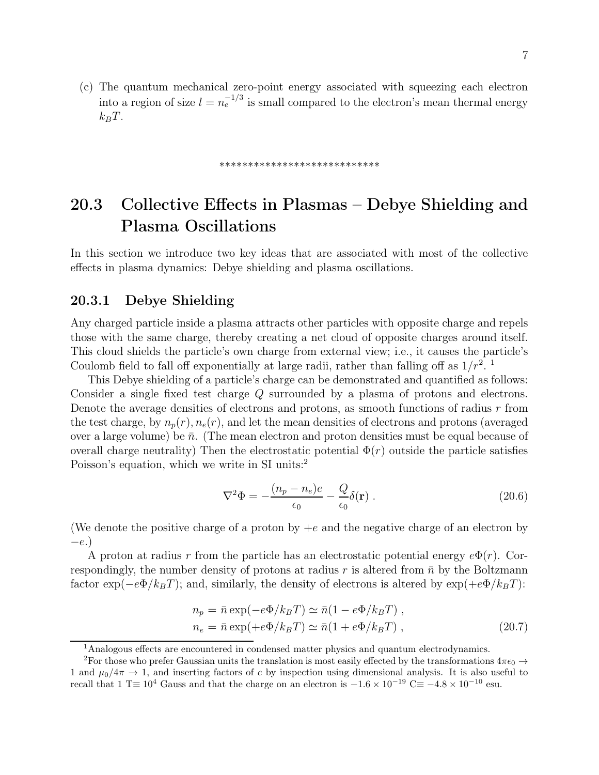(c) The quantum mechanical zero-point energy associated with squeezing each electron into a region of size  $l = n_e^{-1/3}$  is small compared to the electron's mean thermal energy  $k_BT$ .

\*\*\*\*\*\*\*\*\*\*\*\*\*\*\*\*\*\*\*\*\*\*\*\*\*\*\*\*

# 20.3 Collective Effects in Plasmas – Debye Shielding and Plasma Oscillations

In this section we introduce two key ideas that are associated with most of the collective effects in plasma dynamics: Debye shielding and plasma oscillations.

#### 20.3.1 Debye Shielding

Any charged particle inside a plasma attracts other particles with opposite charge and repels those with the same charge, thereby creating a net cloud of opposite charges around itself. This cloud shields the particle's own charge from external view; i.e., it causes the particle's Coulomb field to fall off exponentially at large radii, rather than falling off as  $1/r^2$ .

This Debye shielding of a particle's charge can be demonstrated and quantified as follows: Consider a single fixed test charge Q surrounded by a plasma of protons and electrons. Denote the average densities of electrons and protons, as smooth functions of radius  $r$  from the test charge, by  $n_p(r)$ ,  $n_e(r)$ , and let the mean densities of electrons and protons (averaged over a large volume) be  $\bar{n}$ . (The mean electron and proton densities must be equal because of overall charge neutrality) Then the electrostatic potential  $\Phi(r)$  outside the particle satisfies Poisson's equation, which we write in SI units:<sup>2</sup>

$$
\nabla^2 \Phi = -\frac{(n_p - n_e)e}{\epsilon_0} - \frac{Q}{\epsilon_0} \delta(\mathbf{r}) . \qquad (20.6)
$$

(We denote the positive charge of a proton by  $+e$  and the negative charge of an electron by  $-e.$ )

A proton at radius r from the particle has an electrostatic potential energy  $e\Phi(r)$ . Correspondingly, the number density of protons at radius r is altered from  $\bar{n}$  by the Boltzmann factor  $\exp(-e\Phi/k_BT)$ ; and, similarly, the density of electrons is altered by  $\exp(+e\Phi/k_BT)$ :

$$
n_p = \bar{n} \exp(-e\Phi/k_B T) \simeq \bar{n}(1 - e\Phi/k_B T) ,
$$
  
\n
$$
n_e = \bar{n} \exp(+e\Phi/k_B T) \simeq \bar{n}(1 + e\Phi/k_B T) ,
$$
\n(20.7)

<sup>1</sup>Analogous effects are encountered in condensed matter physics and quantum electrodynamics.

<sup>&</sup>lt;sup>2</sup>For those who prefer Gaussian units the translation is most easily effected by the transformations  $4\pi\epsilon_0 \rightarrow$ 1 and  $\mu_0/4\pi \to 1$ , and inserting factors of c by inspection using dimensional analysis. It is also useful to recall that 1 T≡ 10<sup>4</sup> Gauss and that the charge on an electron is  $-1.6 \times 10^{-19}$  C≡  $-4.8 \times 10^{-10}$  esu.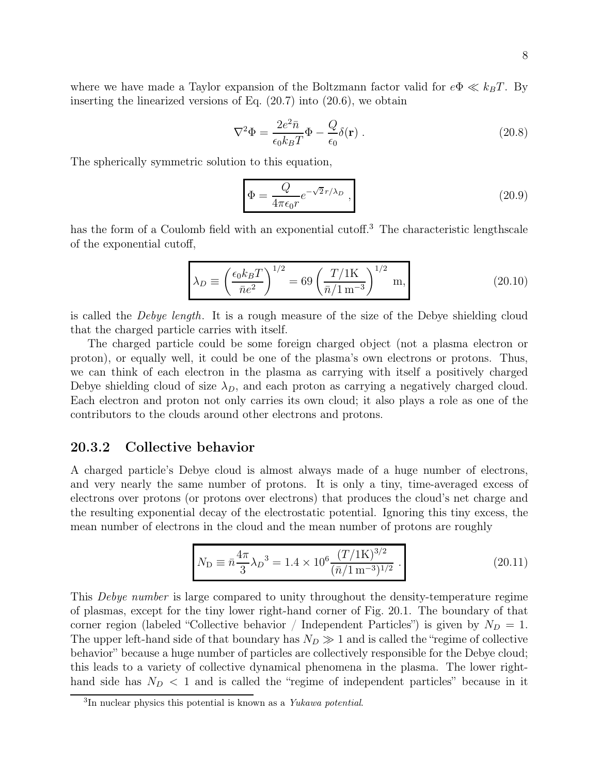where we have made a Taylor expansion of the Boltzmann factor valid for  $e\Phi \ll k_BT$ . By inserting the linearized versions of Eq. (20.7) into (20.6), we obtain

$$
\nabla^2 \Phi = \frac{2e^2 \bar{n}}{\epsilon_0 k_B T} \Phi - \frac{Q}{\epsilon_0} \delta(\mathbf{r}) \,. \tag{20.8}
$$

The spherically symmetric solution to this equation,

$$
\Phi = \frac{Q}{4\pi\epsilon_0 r} e^{-\sqrt{2}r/\lambda_D} \,,\tag{20.9}
$$

has the form of a Coulomb field with an exponential cutoff.<sup>3</sup> The characteristic lengthscale of the exponential cutoff,

$$
\lambda_D \equiv \left(\frac{\epsilon_0 k_B T}{\bar{n}e^2}\right)^{1/2} = 69 \left(\frac{T/1 \text{K}}{\bar{n}/1 \text{ m}^{-3}}\right)^{1/2} \text{ m},\tag{20.10}
$$

is called the Debye length. It is a rough measure of the size of the Debye shielding cloud that the charged particle carries with itself.

The charged particle could be some foreign charged object (not a plasma electron or proton), or equally well, it could be one of the plasma's own electrons or protons. Thus, we can think of each electron in the plasma as carrying with itself a positively charged Debye shielding cloud of size  $\lambda_D$ , and each proton as carrying a negatively charged cloud. Each electron and proton not only carries its own cloud; it also plays a role as one of the contributors to the clouds around other electrons and protons.

#### 20.3.2 Collective behavior

A charged particle's Debye cloud is almost always made of a huge number of electrons, and very nearly the same number of protons. It is only a tiny, time-averaged excess of electrons over protons (or protons over electrons) that produces the cloud's net charge and the resulting exponential decay of the electrostatic potential. Ignoring this tiny excess, the mean number of electrons in the cloud and the mean number of protons are roughly

$$
N_{\rm D} \equiv \bar{n} \frac{4\pi}{3} \lambda_D{}^3 = 1.4 \times 10^6 \frac{(T/1{\rm K})^{3/2}}{(\bar{n}/1 {\rm m}^{-3})^{1/2}} \,. \tag{20.11}
$$

This Debye number is large compared to unity throughout the density-temperature regime of plasmas, except for the tiny lower right-hand corner of Fig. 20.1. The boundary of that corner region (labeled "Collective behavior / Independent Particles") is given by  $N_D = 1$ . The upper left-hand side of that boundary has  $N_D \gg 1$  and is called the "regime of collective" behavior" because a huge number of particles are collectively responsible for the Debye cloud; this leads to a variety of collective dynamical phenomena in the plasma. The lower righthand side has  $N_D < 1$  and is called the "regime of independent particles" because in it

<sup>&</sup>lt;sup>3</sup>In nuclear physics this potential is known as a Yukawa potential.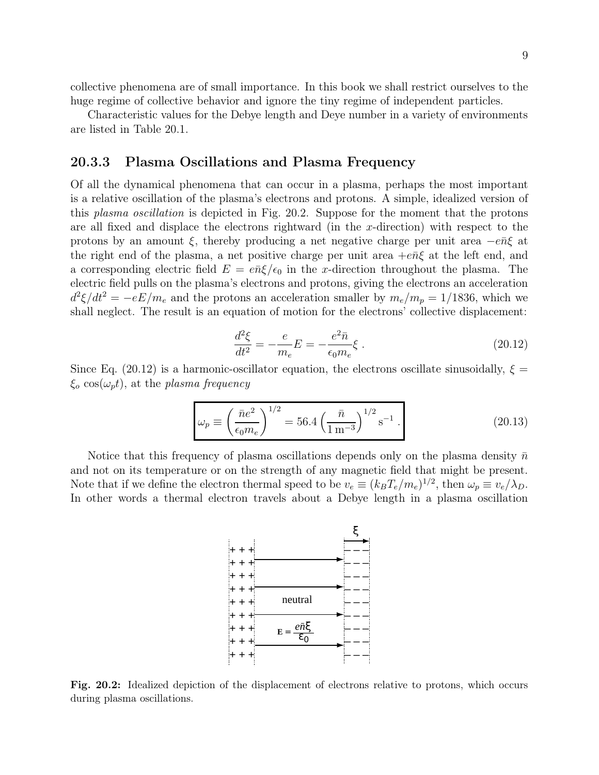collective phenomena are of small importance. In this book we shall restrict ourselves to the huge regime of collective behavior and ignore the tiny regime of independent particles.

Characteristic values for the Debye length and Deye number in a variety of environments are listed in Table 20.1.

#### 20.3.3 Plasma Oscillations and Plasma Frequency

Of all the dynamical phenomena that can occur in a plasma, perhaps the most important is a relative oscillation of the plasma's electrons and protons. A simple, idealized version of this plasma oscillation is depicted in Fig. 20.2. Suppose for the moment that the protons are all fixed and displace the electrons rightward (in the  $x$ -direction) with respect to the protons by an amount  $\xi$ , thereby producing a net negative charge per unit area  $-e\bar{n}\xi$  at the right end of the plasma, a net positive charge per unit area  $+e\bar{n}\xi$  at the left end, and a corresponding electric field  $E = e\bar{n}\xi/\epsilon_0$  in the x-direction throughout the plasma. The electric field pulls on the plasma's electrons and protons, giving the electrons an acceleration  $d^2\xi/dt^2 = -eE/m_e$  and the protons an acceleration smaller by  $m_e/m_p = 1/1836$ , which we shall neglect. The result is an equation of motion for the electrons' collective displacement:

$$
\frac{d^2\xi}{dt^2} = -\frac{e}{m_e}E = -\frac{e^2\bar{n}}{\epsilon_0 m_e}\xi \,. \tag{20.12}
$$

Since Eq. (20.12) is a harmonic-oscillator equation, the electrons oscillate sinusoidally,  $\xi =$  $\xi_o \cos(\omega_p t)$ , at the plasma frequency

$$
\omega_p \equiv \left(\frac{\bar{n}e^2}{\epsilon_0 m_e}\right)^{1/2} = 56.4 \left(\frac{\bar{n}}{1 \,\mathrm{m}^{-3}}\right)^{1/2} \mathrm{s}^{-1} \,. \tag{20.13}
$$

Notice that this frequency of plasma oscillations depends only on the plasma density  $\bar{n}$ and not on its temperature or on the strength of any magnetic field that might be present. Note that if we define the electron thermal speed to be  $v_e \equiv (k_B T_e/m_e)^{1/2}$ , then  $\omega_p \equiv v_e/\lambda_D$ . In other words a thermal electron travels about a Debye length in a plasma oscillation



Fig. 20.2: Idealized depiction of the displacement of electrons relative to protons, which occurs during plasma oscillations.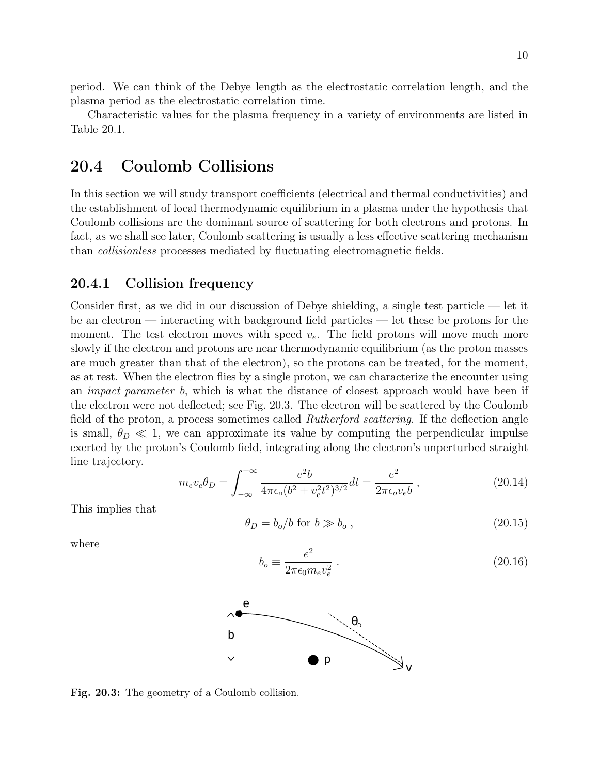period. We can think of the Debye length as the electrostatic correlation length, and the plasma period as the electrostatic correlation time.

Characteristic values for the plasma frequency in a variety of environments are listed in Table 20.1.

# 20.4 Coulomb Collisions

In this section we will study transport coefficients (electrical and thermal conductivities) and the establishment of local thermodynamic equilibrium in a plasma under the hypothesis that Coulomb collisions are the dominant source of scattering for both electrons and protons. In fact, as we shall see later, Coulomb scattering is usually a less effective scattering mechanism than collisionless processes mediated by fluctuating electromagnetic fields.

#### 20.4.1 Collision frequency

Consider first, as we did in our discussion of Debye shielding, a single test particle — let it be an electron — interacting with background field particles — let these be protons for the moment. The test electron moves with speed  $v_e$ . The field protons will move much more slowly if the electron and protons are near thermodynamic equilibrium (as the proton masses are much greater than that of the electron), so the protons can be treated, for the moment, as at rest. When the electron flies by a single proton, we can characterize the encounter using an *impact parameter b*, which is what the distance of closest approach would have been if the electron were not deflected; see Fig. 20.3. The electron will be scattered by the Coulomb field of the proton, a process sometimes called *Rutherford scattering*. If the deflection angle is small,  $\theta_D \ll 1$ , we can approximate its value by computing the perpendicular impulse exerted by the proton's Coulomb field, integrating along the electron's unperturbed straight line trajectory.

$$
m_e v_e \theta_D = \int_{-\infty}^{+\infty} \frac{e^2 b}{4\pi \epsilon_o (b^2 + v_e^2 t^2)^{3/2}} dt = \frac{e^2}{2\pi \epsilon_o v_e b} , \qquad (20.14)
$$

This implies that

$$
\theta_D = b_o/b \text{ for } b \gg b_o , \qquad (20.15)
$$

where

$$
b_o \equiv \frac{e^2}{2\pi\epsilon_0 m_e v_e^2} \,. \tag{20.16}
$$



Fig. 20.3: The geometry of a Coulomb collision.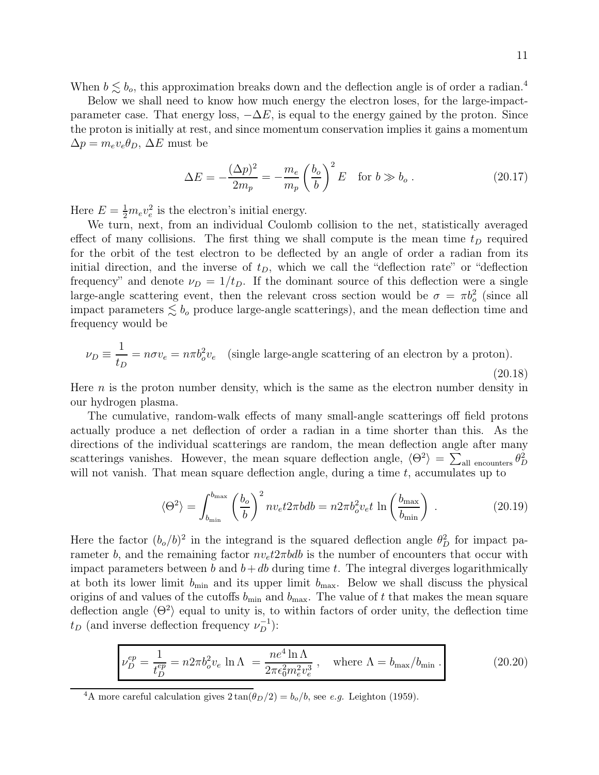When  $b \lesssim b_o$ , this approximation breaks down and the deflection angle is of order a radian.<sup>4</sup>

Below we shall need to know how much energy the electron loses, for the large-impactparameter case. That energy loss,  $-\Delta E$ , is equal to the energy gained by the proton. Since the proton is initially at rest, and since momentum conservation implies it gains a momentum  $\Delta p = m_e v_e \theta_D$ ,  $\Delta E$  must be

$$
\Delta E = -\frac{(\Delta p)^2}{2m_p} = -\frac{m_e}{m_p} \left(\frac{b_o}{b}\right)^2 E \quad \text{for } b \gg b_o \,. \tag{20.17}
$$

Here  $E = \frac{1}{2} m_e v_e^2$  is the electron's initial energy.

We turn, next, from an individual Coulomb collision to the net, statistically averaged effect of many collisions. The first thing we shall compute is the mean time  $t_D$  required for the orbit of the test electron to be deflected by an angle of order a radian from its initial direction, and the inverse of  $t_D$ , which we call the "deflection rate" or "deflection frequency" and denote  $\nu_D = 1/t_D$ . If the dominant source of this deflection were a single large-angle scattering event, then the relevant cross section would be  $\sigma = \pi b_o^2$  (since all impact parameters  $\leq b_o$  produce large-angle scatterings), and the mean deflection time and frequency would be

$$
\nu_D \equiv \frac{1}{t_D} = n\sigma v_e = n\pi b_o^2 v_e
$$
 (single large-angle scattering of an electron by a proton). (20.18)

Here  $n$  is the proton number density, which is the same as the electron number density in our hydrogen plasma.

The cumulative, random-walk effects of many small-angle scatterings off field protons actually produce a net deflection of order a radian in a time shorter than this. As the directions of the individual scatterings are random, the mean deflection angle after many scatterings vanishes. However, the mean square deflection angle,  $\langle \Theta^2 \rangle = \sum_{\text{all encounters}} \theta_D^2$ will not vanish. That mean square deflection angle, during a time  $t$ , accumulates up to

$$
\langle \Theta^2 \rangle = \int_{b_{\rm min}}^{b_{\rm max}} \left(\frac{b_o}{b}\right)^2 n v_e t 2\pi b db = n 2\pi b_o^2 v_e t \ln\left(\frac{b_{\rm max}}{b_{\rm min}}\right) \,. \tag{20.19}
$$

Here the factor  $(b_o/b)^2$  in the integrand is the squared deflection angle  $\theta_D^2$  for impact parameter b, and the remaining factor  $nv_e t 2\pi b d b$  is the number of encounters that occur with impact parameters between b and  $b+db$  during time t. The integral diverges logarithmically at both its lower limit  $b_{\min}$  and its upper limit  $b_{\max}$ . Below we shall discuss the physical origins of and values of the cutoffs  $b_{\min}$  and  $b_{\max}$ . The value of t that makes the mean square deflection angle  $\langle \Theta^2 \rangle$  equal to unity is, to within factors of order unity, the deflection time  $t_D$  (and inverse deflection frequency  $\nu_D^{-1}$ ):

$$
\nu_D^{ep} = \frac{1}{t_D^{ep}} = n2\pi b_o^2 v_e \ln \Lambda = \frac{ne^4 \ln \Lambda}{2\pi \epsilon_0^2 m_e^2 v_e^3}, \quad \text{where } \Lambda = b_{\text{max}}/b_{\text{min}}.
$$
 (20.20)

<sup>&</sup>lt;sup>4</sup>A more careful calculation gives  $2 \tan(\theta_D/2) = b_o/b$ , see *e.g.* Leighton (1959).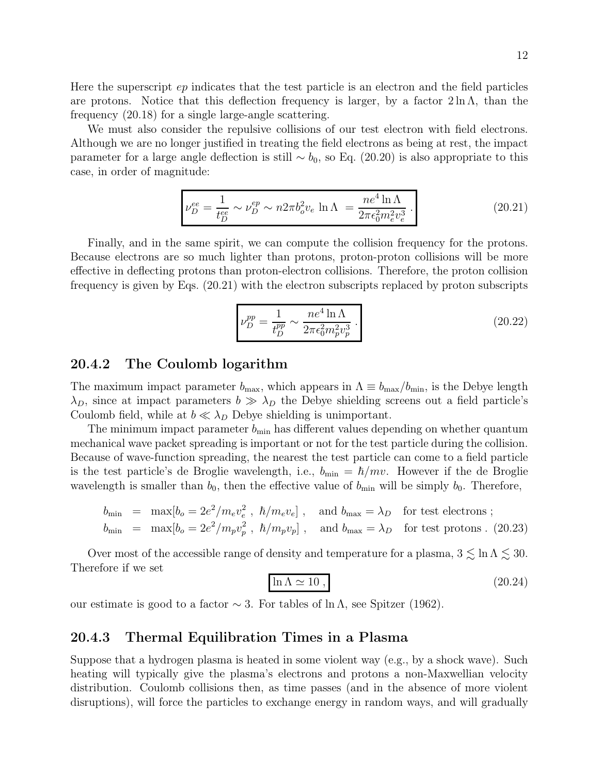Here the superscript *ep* indicates that the test particle is an electron and the field particles are protons. Notice that this deflection frequency is larger, by a factor  $2 \ln \Lambda$ , than the frequency (20.18) for a single large-angle scattering.

We must also consider the repulsive collisions of our test electron with field electrons. Although we are no longer justified in treating the field electrons as being at rest, the impact parameter for a large angle deflection is still  $\sim b_0$ , so Eq. (20.20) is also appropriate to this case, in order of magnitude:

$$
\nu_D^{ee} = \frac{1}{t_D^{ee}} \sim \nu_D^{ep} \sim n2\pi b_o^2 v_e \ln \Lambda = \frac{ne^4 \ln \Lambda}{2\pi \epsilon_0^2 m_e^2 v_e^3} \,. \tag{20.21}
$$

Finally, and in the same spirit, we can compute the collision frequency for the protons. Because electrons are so much lighter than protons, proton-proton collisions will be more effective in deflecting protons than proton-electron collisions. Therefore, the proton collision frequency is given by Eqs. (20.21) with the electron subscripts replaced by proton subscripts

$$
\nu_D^{pp} = \frac{1}{t_D^{pp}} \sim \frac{ne^4 \ln \Lambda}{2\pi \epsilon_0^2 m_p^2 v_p^3} \,. \tag{20.22}
$$

#### 20.4.2 The Coulomb logarithm

The maximum impact parameter  $b_{\text{max}}$ , which appears in  $\Lambda \equiv b_{\text{max}}/b_{\text{min}}$ , is the Debye length  $\lambda_D$ , since at impact parameters  $b \gg \lambda_D$  the Debye shielding screens out a field particle's Coulomb field, while at  $b \ll \lambda_D$  Debye shielding is unimportant.

The minimum impact parameter  $b_{\min}$  has different values depending on whether quantum mechanical wave packet spreading is important or not for the test particle during the collision. Because of wave-function spreading, the nearest the test particle can come to a field particle is the test particle's de Broglie wavelength, i.e.,  $b_{\min} = \hbar/mv$ . However if the de Broglie wavelength is smaller than  $b_0$ , then the effective value of  $b_{\min}$  will be simply  $b_0$ . Therefore,

$$
b_{\min} = \max[b_o = 2e^2/m_e v_e^2, \ \hbar/m_e v_e], \text{ and } b_{\max} = \lambda_D \text{ for test electrons ;}
$$
  

$$
b_{\min} = \max[b_o = 2e^2/m_p v_p^2, \ \hbar/m_p v_p], \text{ and } b_{\max} = \lambda_D \text{ for test protons. (20.23)}
$$

Over most of the accessible range of density and temperature for a plasma,  $3 \lesssim \ln \Lambda \lesssim 30$ . Therefore if we set

$$
\ln \Lambda \simeq 10 \;, \tag{20.24}
$$

our estimate is good to a factor  $\sim$  3. For tables of ln  $\Lambda$ , see Spitzer (1962).

#### 20.4.3 Thermal Equilibration Times in a Plasma

Suppose that a hydrogen plasma is heated in some violent way (e.g., by a shock wave). Such heating will typically give the plasma's electrons and protons a non-Maxwellian velocity distribution. Coulomb collisions then, as time passes (and in the absence of more violent disruptions), will force the particles to exchange energy in random ways, and will gradually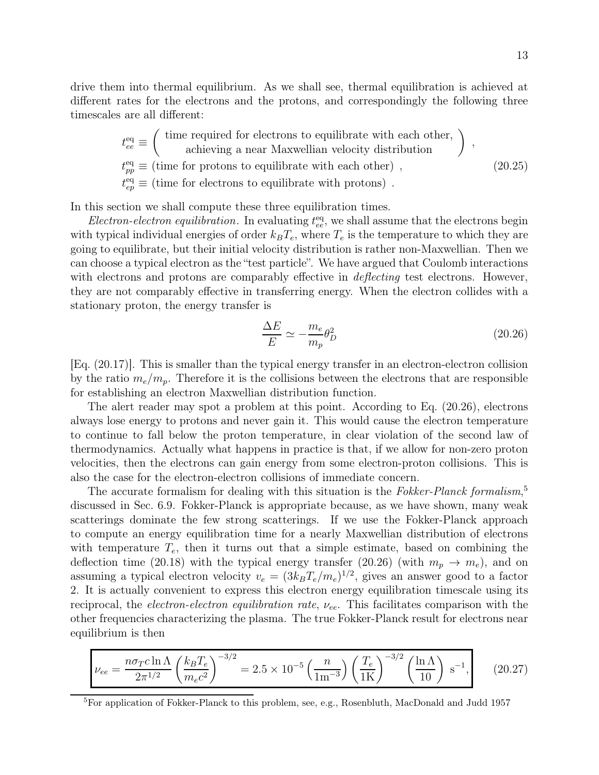drive them into thermal equilibrium. As we shall see, thermal equilibration is achieved at different rates for the electrons and the protons, and correspondingly the following three timescales are all different:

$$
t_{ee}^{\text{eq}} \equiv \begin{pmatrix} \text{time required for electrons to equilibrate with each other,} \\ \text{achieving a near Maxwellian velocity distribution} \end{pmatrix} ,
$$
  
\n
$$
t_{pp}^{\text{eq}} \equiv \text{(time for protons to equilibrate with each other)} , \qquad (20.25)
$$
  
\n
$$
t_{ep}^{\text{eq}} \equiv \text{(time for electrons to equilibrate with protons)} .
$$

In this section we shall compute these three equilibration times.

*Electron-electron equilibration*. In evaluating  $t_{ee}^{\text{eq}}$ , we shall assume that the electrons begin with typical individual energies of order  $k_B T_e$ , where  $T_e$  is the temperature to which they are going to equilibrate, but their initial velocity distribution is rather non-Maxwellian. Then we can choose a typical electron as the "test particle". We have argued that Coulomb interactions with electrons and protons are comparably effective in *deflecting* test electrons. However, they are not comparably effective in transferring energy. When the electron collides with a stationary proton, the energy transfer is

$$
\frac{\Delta E}{E} \simeq -\frac{m_e}{m_p} \theta_D^2 \tag{20.26}
$$

[Eq. (20.17)]. This is smaller than the typical energy transfer in an electron-electron collision by the ratio  $m_e/m_p$ . Therefore it is the collisions between the electrons that are responsible for establishing an electron Maxwellian distribution function.

The alert reader may spot a problem at this point. According to Eq. (20.26), electrons always lose energy to protons and never gain it. This would cause the electron temperature to continue to fall below the proton temperature, in clear violation of the second law of thermodynamics. Actually what happens in practice is that, if we allow for non-zero proton velocities, then the electrons can gain energy from some electron-proton collisions. This is also the case for the electron-electron collisions of immediate concern.

The accurate formalism for dealing with this situation is the Fokker-Planck formalism,<sup>5</sup> discussed in Sec. 6.9. Fokker-Planck is appropriate because, as we have shown, many weak scatterings dominate the few strong scatterings. If we use the Fokker-Planck approach to compute an energy equilibration time for a nearly Maxwellian distribution of electrons with temperature  $T_e$ , then it turns out that a simple estimate, based on combining the deflection time (20.18) with the typical energy transfer (20.26) (with  $m_p \to m_e$ ), and on assuming a typical electron velocity  $v_e = (3k_B T_e/m_e)^{1/2}$ , gives an answer good to a factor 2. It is actually convenient to express this electron energy equilibration timescale using its reciprocal, the *electron-electron equilibration rate*,  $\nu_{ee}$ . This facilitates comparison with the other frequencies characterizing the plasma. The true Fokker-Planck result for electrons near equilibrium is then

$$
\nu_{ee} = \frac{n\sigma_T c \ln \Lambda}{2\pi^{1/2}} \left(\frac{k_B T_e}{m_e c^2}\right)^{-3/2} = 2.5 \times 10^{-5} \left(\frac{n}{1 \text{m}^{-3}}\right) \left(\frac{T_e}{1 \text{K}}\right)^{-3/2} \left(\frac{\ln \Lambda}{10}\right) \text{ s}^{-1},\tag{20.27}
$$

 ${}^{5}$ For application of Fokker-Planck to this problem, see, e.g., Rosenbluth, MacDonald and Judd 1957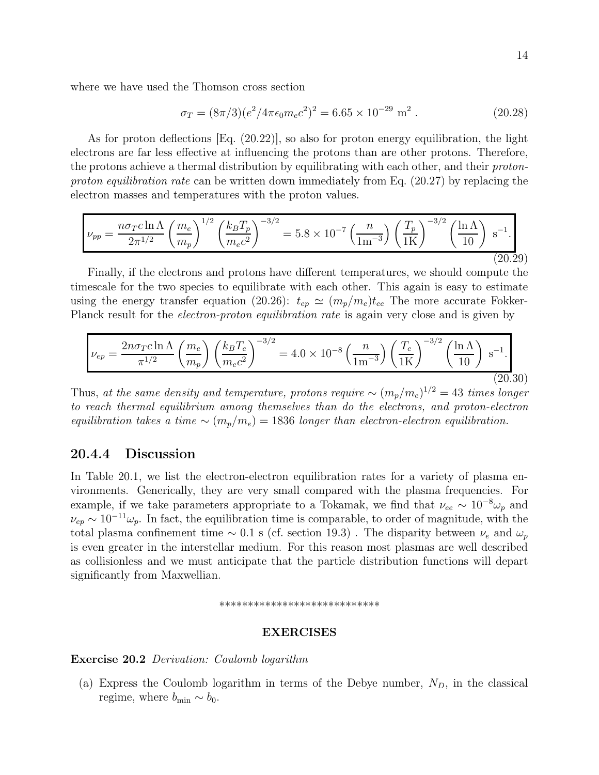where we have used the Thomson cross section

$$
\sigma_T = (8\pi/3)(e^2/4\pi\epsilon_0 m_e c^2)^2 = 6.65 \times 10^{-29} \text{ m}^2. \qquad (20.28)
$$

As for proton deflections [Eq. (20.22)], so also for proton energy equilibration, the light electrons are far less effective at influencing the protons than are other protons. Therefore, the protons achieve a thermal distribution by equilibrating with each other, and their protonproton equilibration rate can be written down immediately from Eq. (20.27) by replacing the electron masses and temperatures with the proton values.

$$
\nu_{pp} = \frac{n\sigma_T c \ln \Lambda}{2\pi^{1/2}} \left(\frac{m_e}{m_p}\right)^{1/2} \left(\frac{k_B T_p}{m_e c^2}\right)^{-3/2} = 5.8 \times 10^{-7} \left(\frac{n}{1 \text{m}^{-3}}\right) \left(\frac{T_p}{1 \text{K}}\right)^{-3/2} \left(\frac{\ln \Lambda}{10}\right) \text{ s}^{-1}.
$$
\n(20.29)

Finally, if the electrons and protons have different temperatures, we should compute the timescale for the two species to equilibrate with each other. This again is easy to estimate using the energy transfer equation (20.26):  $t_{ep} \simeq (m_p/m_e)t_{ee}$  The more accurate Fokker-Planck result for the *electron-proton equilibration rate* is again very close and is given by

$$
\nu_{ep} = \frac{2n\sigma_T c \ln \Lambda}{\pi^{1/2}} \left(\frac{m_e}{m_p}\right) \left(\frac{k_B T_e}{m_e c^2}\right)^{-3/2} = 4.0 \times 10^{-8} \left(\frac{n}{1 \text{m}^{-3}}\right) \left(\frac{T_e}{1 \text{K}}\right)^{-3/2} \left(\frac{\ln \Lambda}{10}\right) \text{ s}^{-1}.
$$
\n(20.30)

Thus, at the same density and temperature, protons require  $\sim (m_p/m_e)^{1/2} = 43$  times longer to reach thermal equilibrium among themselves than do the electrons, and proton-electron equilibration takes a time  $\sim (m_p/m_e) = 1836$  longer than electron-electron equilibration.

#### 20.4.4 Discussion

In Table 20.1, we list the electron-electron equilibration rates for a variety of plasma environments. Generically, they are very small compared with the plasma frequencies. For example, if we take parameters appropriate to a Tokamak, we find that  $\nu_{ee} \sim 10^{-8} \omega_p$  and  $\nu_{ep} \sim 10^{-11} \omega_p$ . In fact, the equilibration time is comparable, to order of magnitude, with the total plasma confinement time ~ 0.1 s (cf. section 19.3). The disparity between  $\nu_e$  and  $\omega_p$ is even greater in the interstellar medium. For this reason most plasmas are well described as collisionless and we must anticipate that the particle distribution functions will depart significantly from Maxwellian.

#### \*\*\*\*\*\*\*\*\*\*\*\*\*\*\*\*\*\*\*\*\*\*\*\*\*\*\*\*

#### EXERCISES

Exercise 20.2 Derivation: Coulomb logarithm

(a) Express the Coulomb logarithm in terms of the Debye number,  $N_D$ , in the classical regime, where  $b_{\min} \sim b_0$ .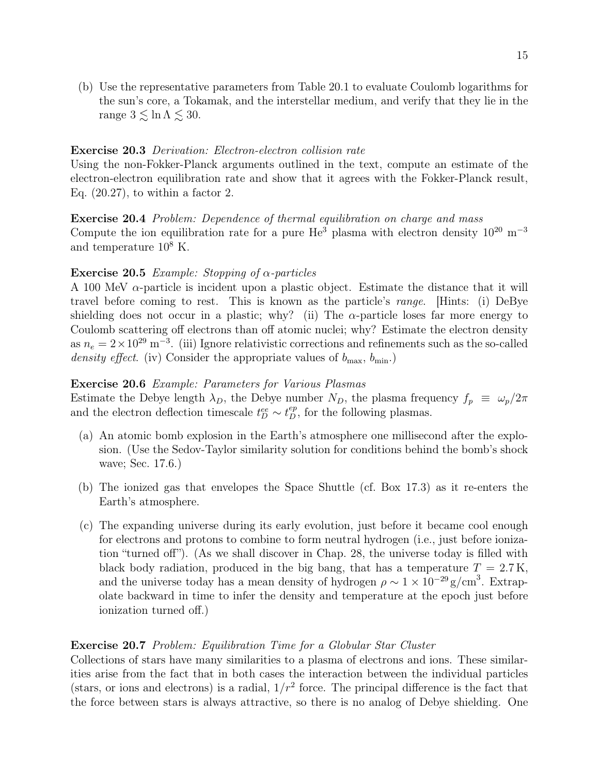(b) Use the representative parameters from Table 20.1 to evaluate Coulomb logarithms for the sun's core, a Tokamak, and the interstellar medium, and verify that they lie in the range  $3 \leq \ln \Lambda \leq 30$ .

#### Exercise 20.3 Derivation: Electron-electron collision rate

Using the non-Fokker-Planck arguments outlined in the text, compute an estimate of the electron-electron equilibration rate and show that it agrees with the Fokker-Planck result, Eq. (20.27), to within a factor 2.

#### Exercise 20.4 Problem: Dependence of thermal equilibration on charge and mass

Compute the ion equilibration rate for a pure He<sup>3</sup> plasma with electron density  $10^{20}$  m<sup>-3</sup> and temperature  $10^8$  K.

#### Exercise 20.5 Example: Stopping of  $\alpha$ -particles

A 100 MeV  $\alpha$ -particle is incident upon a plastic object. Estimate the distance that it will travel before coming to rest. This is known as the particle's range. [Hints: (i) DeBye shielding does not occur in a plastic; why? (ii) The  $\alpha$ -particle loses far more energy to Coulomb scattering off electrons than off atomic nuclei; why? Estimate the electron density as  $n_e = 2 \times 10^{29} \text{ m}^{-3}$ . (iii) Ignore relativistic corrections and refinements such as the so-called density effect. (iv) Consider the appropriate values of  $b_{\text{max}}$ ,  $b_{\text{min}}$ .)

#### Exercise 20.6 Example: Parameters for Various Plasmas

Estimate the Debye length  $\lambda_D$ , the Debye number  $N_D$ , the plasma frequency  $f_p \equiv \omega_p/2\pi$ and the electron deflection timescale  $t_D^{ee} \sim t_D^{ep}$ , for the following plasmas.

- (a) An atomic bomb explosion in the Earth's atmosphere one millisecond after the explosion. (Use the Sedov-Taylor similarity solution for conditions behind the bomb's shock wave; Sec. 17.6.)
- (b) The ionized gas that envelopes the Space Shuttle (cf. Box 17.3) as it re-enters the Earth's atmosphere.
- (c) The expanding universe during its early evolution, just before it became cool enough for electrons and protons to combine to form neutral hydrogen (i.e., just before ionization "turned off"). (As we shall discover in Chap. 28, the universe today is filled with black body radiation, produced in the big bang, that has a temperature  $T = 2.7$  K, and the universe today has a mean density of hydrogen  $\rho \sim 1 \times 10^{-29}$  g/cm<sup>3</sup>. Extrapolate backward in time to infer the density and temperature at the epoch just before ionization turned off.)

#### Exercise 20.7 Problem: Equilibration Time for a Globular Star Cluster

Collections of stars have many similarities to a plasma of electrons and ions. These similarities arise from the fact that in both cases the interaction between the individual particles (stars, or ions and electrons) is a radial,  $1/r^2$  force. The principal difference is the fact that the force between stars is always attractive, so there is no analog of Debye shielding. One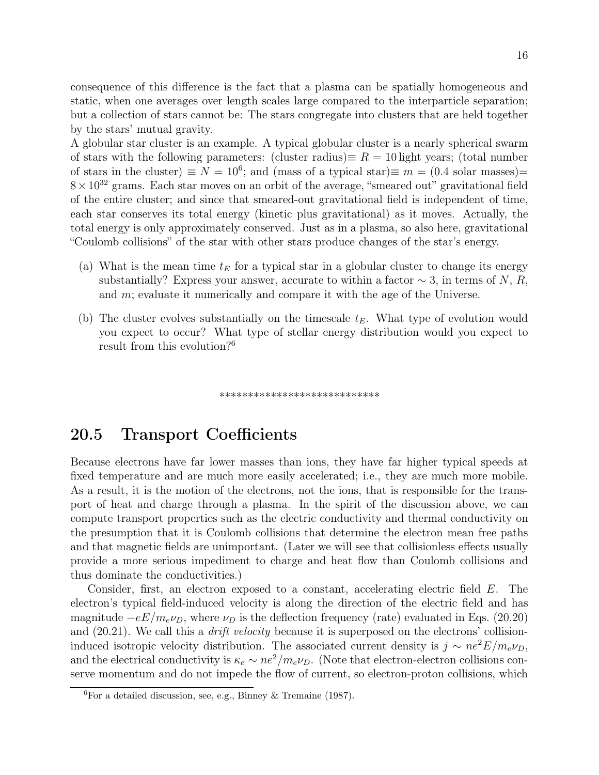consequence of this difference is the fact that a plasma can be spatially homogeneous and static, when one averages over length scales large compared to the interparticle separation; but a collection of stars cannot be: The stars congregate into clusters that are held together by the stars' mutual gravity.

A globular star cluster is an example. A typical globular cluster is a nearly spherical swarm of stars with the following parameters: (cluster radius) $\equiv R = 10$  light years; (total number of stars in the cluster)  $\equiv N = 10^6$ ; and (mass of a typical star) $\equiv m = (0.4 \text{ solar masses})$  $8 \times 10^{32}$  grams. Each star moves on an orbit of the average, "smeared out" gravitational field of the entire cluster; and since that smeared-out gravitational field is independent of time, each star conserves its total energy (kinetic plus gravitational) as it moves. Actually, the total energy is only approximately conserved. Just as in a plasma, so also here, gravitational "Coulomb collisions" of the star with other stars produce changes of the star's energy.

- (a) What is the mean time  $t_E$  for a typical star in a globular cluster to change its energy substantially? Express your answer, accurate to within a factor  $\sim$  3, in terms of N, R, and m; evaluate it numerically and compare it with the age of the Universe.
- (b) The cluster evolves substantially on the timescale  $t_E$ . What type of evolution would you expect to occur? What type of stellar energy distribution would you expect to result from this evolution?<sup>6</sup>

\*\*\*\*\*\*\*\*\*\*\*\*\*\*\*\*\*\*\*\*\*\*\*\*\*\*\*\*

# 20.5 Transport Coefficients

Because electrons have far lower masses than ions, they have far higher typical speeds at fixed temperature and are much more easily accelerated; i.e., they are much more mobile. As a result, it is the motion of the electrons, not the ions, that is responsible for the transport of heat and charge through a plasma. In the spirit of the discussion above, we can compute transport properties such as the electric conductivity and thermal conductivity on the presumption that it is Coulomb collisions that determine the electron mean free paths and that magnetic fields are unimportant. (Later we will see that collisionless effects usually provide a more serious impediment to charge and heat flow than Coulomb collisions and thus dominate the conductivities.)

Consider, first, an electron exposed to a constant, accelerating electric field E. The electron's typical field-induced velocity is along the direction of the electric field and has magnitude  $-eE/m_e\nu_D$ , where  $\nu_D$  is the deflection frequency (rate) evaluated in Eqs. (20.20) and (20.21). We call this a *drift velocity* because it is superposed on the electrons' collisioninduced isotropic velocity distribution. The associated current density is  $j \sim ne^2E/m_e\nu_D$ , and the electrical conductivity is  $\kappa_e \sim ne^2/m_e \nu_D$ . (Note that electron-electron collisions conserve momentum and do not impede the flow of current, so electron-proton collisions, which

 ${}^{6}$ For a detailed discussion, see, e.g., Binney & Tremaine (1987).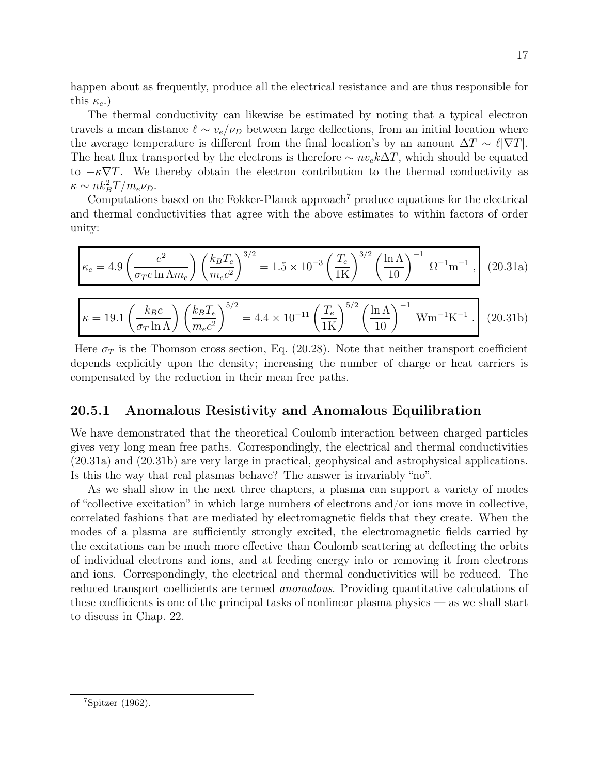happen about as frequently, produce all the electrical resistance and are thus responsible for this  $\kappa_e$ .)

The thermal conductivity can likewise be estimated by noting that a typical electron travels a mean distance  $\ell \sim v_e/\nu_D$  between large deflections, from an initial location where the average temperature is different from the final location's by an amount  $\Delta T \sim \ell |\nabla T|$ . The heat flux transported by the electrons is therefore  $\sim nv_e k\Delta T$ , which should be equated to  $-\kappa \nabla T$ . We thereby obtain the electron contribution to the thermal conductivity as  $\kappa \sim nk_B^2 T/m_e \nu_D.$ 

Computations based on the Fokker-Planck approach<sup>7</sup> produce equations for the electrical and thermal conductivities that agree with the above estimates to within factors of order unity:

$$
\kappa_e = 4.9 \left( \frac{e^2}{\sigma_T c \ln \Lambda m_e} \right) \left( \frac{k_B T_e}{m_e c^2} \right)^{3/2} = 1.5 \times 10^{-3} \left( \frac{T_e}{1 \text{K}} \right)^{3/2} \left( \frac{\ln \Lambda}{10} \right)^{-1} \Omega^{-1} \text{m}^{-1} , \quad (20.31a)
$$

$$
\kappa = 19.1 \left( \frac{k_B c}{\sigma_T \ln \Lambda} \right) \left( \frac{k_B T_e}{m_e c^2} \right)^{5/2} = 4.4 \times 10^{-11} \left( \frac{T_e}{1 \text{K}} \right)^{5/2} \left( \frac{\ln \Lambda}{10} \right)^{-1} \text{Wm}^{-1} \text{K}^{-1} . \quad (20.31b)
$$

Here  $\sigma_T$  is the Thomson cross section, Eq. (20.28). Note that neither transport coefficient depends explicitly upon the density; increasing the number of charge or heat carriers is compensated by the reduction in their mean free paths.

### 20.5.1 Anomalous Resistivity and Anomalous Equilibration

We have demonstrated that the theoretical Coulomb interaction between charged particles gives very long mean free paths. Correspondingly, the electrical and thermal conductivities (20.31a) and (20.31b) are very large in practical, geophysical and astrophysical applications. Is this the way that real plasmas behave? The answer is invariably "no".

As we shall show in the next three chapters, a plasma can support a variety of modes of "collective excitation" in which large numbers of electrons and/or ions move in collective, correlated fashions that are mediated by electromagnetic fields that they create. When the modes of a plasma are sufficiently strongly excited, the electromagnetic fields carried by the excitations can be much more effective than Coulomb scattering at deflecting the orbits of individual electrons and ions, and at feeding energy into or removing it from electrons and ions. Correspondingly, the electrical and thermal conductivities will be reduced. The reduced transport coefficients are termed anomalous. Providing quantitative calculations of these coefficients is one of the principal tasks of nonlinear plasma physics — as we shall start to discuss in Chap. 22.

 $7$ Spitzer (1962).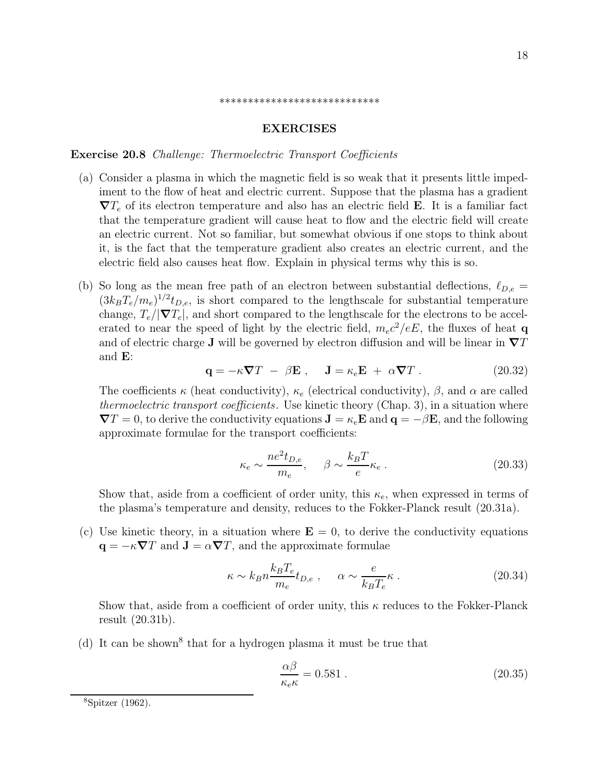#### \*\*\*\*\*\*\*\*\*\*\*\*\*\*\*\*\*\*\*\*\*\*\*\*\*\*\*\*

#### EXERCISES

#### **Exercise 20.8** Challenge: Thermoelectric Transport Coefficients

- (a) Consider a plasma in which the magnetic field is so weak that it presents little impediment to the flow of heat and electric current. Suppose that the plasma has a gradient  $\nabla T_e$  of its electron temperature and also has an electric field **E**. It is a familiar fact that the temperature gradient will cause heat to flow and the electric field will create an electric current. Not so familiar, but somewhat obvious if one stops to think about it, is the fact that the temperature gradient also creates an electric current, and the electric field also causes heat flow. Explain in physical terms why this is so.
- (b) So long as the mean free path of an electron between substantial deflections,  $\ell_{D,e}$  $(3k_BT_e/m_e)^{1/2}t_{D,e}$ , is short compared to the lengthscale for substantial temperature change,  $T_e/|\nabla T_e|$ , and short compared to the lengthscale for the electrons to be accelerated to near the speed of light by the electric field,  $m_ec^2/eE$ , the fluxes of heat **q** and of electric charge J will be governed by electron diffusion and will be linear in  $\nabla T$ and E:

$$
\mathbf{q} = -\kappa \nabla T - \beta \mathbf{E} , \quad \mathbf{J} = \kappa_e \mathbf{E} + \alpha \nabla T . \qquad (20.32)
$$

The coefficients  $\kappa$  (heat conductivity),  $\kappa_e$  (electrical conductivity),  $\beta$ , and  $\alpha$  are called thermoelectric transport coefficients. Use kinetic theory (Chap. 3), in a situation where  $\nabla T = 0$ , to derive the conductivity equations  $\mathbf{J} = \kappa_e \mathbf{E}$  and  $\mathbf{q} = -\beta \mathbf{E}$ , and the following approximate formulae for the transport coefficients:

$$
\kappa_e \sim \frac{ne^2 t_{D,e}}{m_e}, \quad \beta \sim \frac{k_B T}{e} \kappa_e \,. \tag{20.33}
$$

Show that, aside from a coefficient of order unity, this  $\kappa_e$ , when expressed in terms of the plasma's temperature and density, reduces to the Fokker-Planck result (20.31a).

(c) Use kinetic theory, in a situation where  $\mathbf{E} = 0$ , to derive the conductivity equations  $\mathbf{q} = -\kappa \boldsymbol{\nabla} T$  and  $\mathbf{J} = \alpha \boldsymbol{\nabla} T$ , and the approximate formulae

$$
\kappa \sim k_B n \frac{k_B T_e}{m_e} t_{D,e} , \qquad \alpha \sim \frac{e}{k_B T_e} \kappa . \tag{20.34}
$$

Show that, aside from a coefficient of order unity, this  $\kappa$  reduces to the Fokker-Planck result (20.31b).

 $(d)$  It can be shown<sup>8</sup> that for a hydrogen plasma it must be true that

$$
\frac{\alpha\beta}{\kappa_e\kappa} = 0.581\,. \tag{20.35}
$$

<sup>8</sup>Spitzer (1962).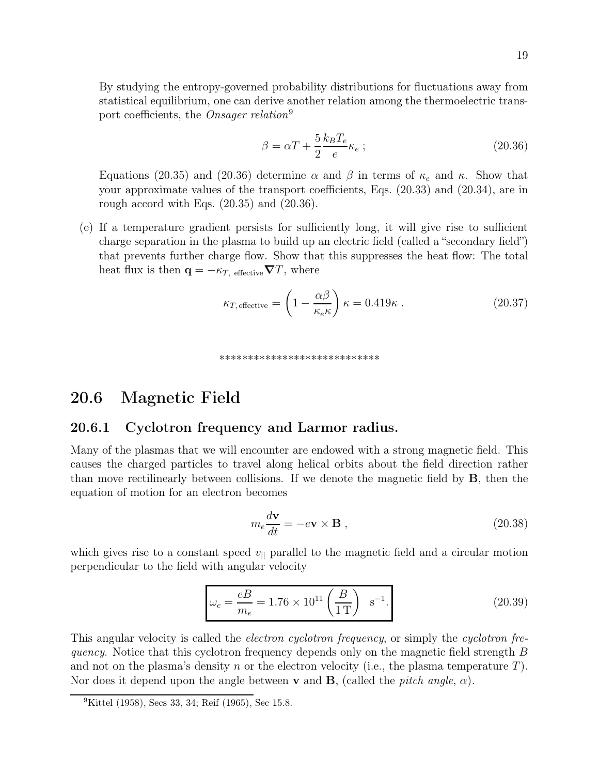By studying the entropy-governed probability distributions for fluctuations away from statistical equilibrium, one can derive another relation among the thermoelectric transport coefficients, the *Onsager relation*<sup>9</sup>

$$
\beta = \alpha T + \frac{5}{2} \frac{k_B T_e}{e} \kappa_e ; \qquad (20.36)
$$

Equations (20.35) and (20.36) determine  $\alpha$  and  $\beta$  in terms of  $\kappa_e$  and  $\kappa$ . Show that your approximate values of the transport coefficients, Eqs. (20.33) and (20.34), are in rough accord with Eqs.  $(20.35)$  and  $(20.36)$ .

(e) If a temperature gradient persists for sufficiently long, it will give rise to sufficient charge separation in the plasma to build up an electric field (called a "secondary field") that prevents further charge flow. Show that this suppresses the heat flow: The total heat flux is then  $\mathbf{q} = -\kappa_{T, \text{ effective}} \nabla T$ , where

$$
\kappa_{T,\text{effective}} = \left(1 - \frac{\alpha \beta}{\kappa_e \kappa}\right) \kappa = 0.419 \kappa \,. \tag{20.37}
$$

\*\*\*\*\*\*\*\*\*\*\*\*\*\*\*\*\*\*\*\*\*\*\*\*\*\*\*\*

### 20.6 Magnetic Field

#### 20.6.1 Cyclotron frequency and Larmor radius.

Many of the plasmas that we will encounter are endowed with a strong magnetic field. This causes the charged particles to travel along helical orbits about the field direction rather than move rectilinearly between collisions. If we denote the magnetic field by B, then the equation of motion for an electron becomes

$$
m_e \frac{d\mathbf{v}}{dt} = -e\mathbf{v} \times \mathbf{B} , \qquad (20.38)
$$

which gives rise to a constant speed  $v_{\parallel}$  parallel to the magnetic field and a circular motion perpendicular to the field with angular velocity

$$
\omega_c = \frac{eB}{m_e} = 1.76 \times 10^{11} \left(\frac{B}{1\,\text{T}}\right) \text{ s}^{-1}.
$$
 (20.39)

This angular velocity is called the *electron cyclotron frequency*, or simply the *cyclotron fre*quency. Notice that this cyclotron frequency depends only on the magnetic field strength B and not on the plasma's density n or the electron velocity (i.e., the plasma temperature  $T$ ). Nor does it depend upon the angle between **v** and **B**, (called the *pitch angle*,  $\alpha$ ).

 $^{9}$ Kittel (1958), Secs 33, 34; Reif (1965), Sec 15.8.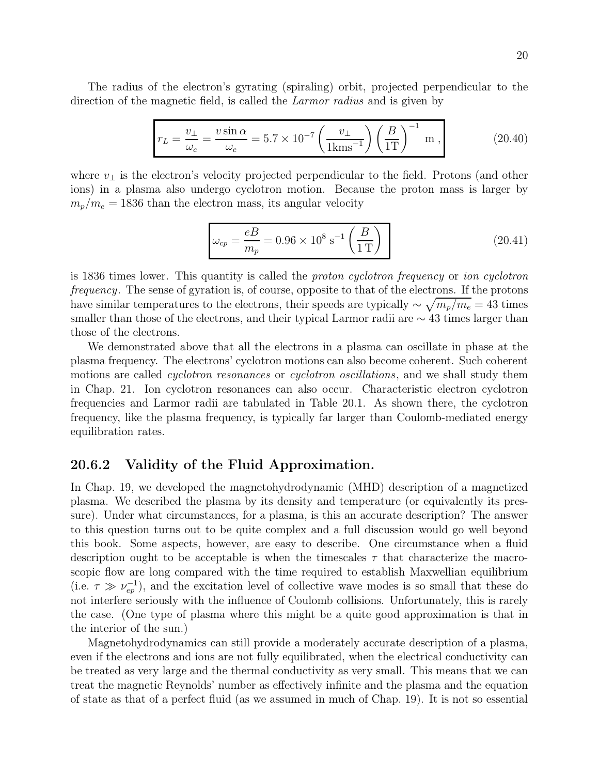The radius of the electron's gyrating (spiraling) orbit, projected perpendicular to the direction of the magnetic field, is called the *Larmor radius* and is given by

$$
r_L = \frac{v_{\perp}}{\omega_c} = \frac{v \sin \alpha}{\omega_c} = 5.7 \times 10^{-7} \left(\frac{v_{\perp}}{1 \text{km s}^{-1}}\right) \left(\frac{B}{1 \text{T}}\right)^{-1} \text{ m},\qquad (20.40)
$$

where  $v_{\perp}$  is the electron's velocity projected perpendicular to the field. Protons (and other ions) in a plasma also undergo cyclotron motion. Because the proton mass is larger by  $m_p/m_e = 1836$  than the electron mass, its angular velocity

$$
\omega_{cp} = \frac{eB}{m_p} = 0.96 \times 10^8 \,\mathrm{s}^{-1} \left(\frac{B}{1\,\mathrm{T}}\right) \tag{20.41}
$$

is 1836 times lower. This quantity is called the proton cyclotron frequency or ion cyclotron frequency. The sense of gyration is, of course, opposite to that of the electrons. If the protons have similar temperatures to the electrons, their speeds are typically  $\sim \sqrt{m_p/m_e} = 43$  times smaller than those of the electrons, and their typical Larmor radii are  $\sim$  43 times larger than those of the electrons.

We demonstrated above that all the electrons in a plasma can oscillate in phase at the plasma frequency. The electrons' cyclotron motions can also become coherent. Such coherent motions are called *cyclotron resonances* or *cyclotron oscillations*, and we shall study them in Chap. 21. Ion cyclotron resonances can also occur. Characteristic electron cyclotron frequencies and Larmor radii are tabulated in Table 20.1. As shown there, the cyclotron frequency, like the plasma frequency, is typically far larger than Coulomb-mediated energy equilibration rates.

#### 20.6.2 Validity of the Fluid Approximation.

In Chap. 19, we developed the magnetohydrodynamic (MHD) description of a magnetized plasma. We described the plasma by its density and temperature (or equivalently its pressure). Under what circumstances, for a plasma, is this an accurate description? The answer to this question turns out to be quite complex and a full discussion would go well beyond this book. Some aspects, however, are easy to describe. One circumstance when a fluid description ought to be acceptable is when the timescales  $\tau$  that characterize the macroscopic flow are long compared with the time required to establish Maxwellian equilibrium (i.e.  $\tau \gg \nu_{ep}^{-1}$ ), and the excitation level of collective wave modes is so small that these do not interfere seriously with the influence of Coulomb collisions. Unfortunately, this is rarely the case. (One type of plasma where this might be a quite good approximation is that in the interior of the sun.)

Magnetohydrodynamics can still provide a moderately accurate description of a plasma, even if the electrons and ions are not fully equilibrated, when the electrical conductivity can be treated as very large and the thermal conductivity as very small. This means that we can treat the magnetic Reynolds' number as effectively infinite and the plasma and the equation of state as that of a perfect fluid (as we assumed in much of Chap. 19). It is not so essential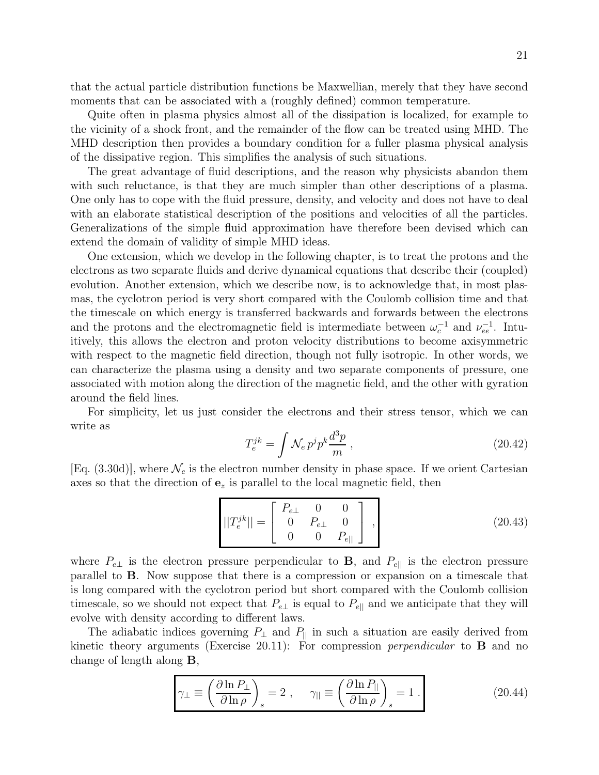that the actual particle distribution functions be Maxwellian, merely that they have second moments that can be associated with a (roughly defined) common temperature.

Quite often in plasma physics almost all of the dissipation is localized, for example to the vicinity of a shock front, and the remainder of the flow can be treated using MHD. The MHD description then provides a boundary condition for a fuller plasma physical analysis of the dissipative region. This simplifies the analysis of such situations.

The great advantage of fluid descriptions, and the reason why physicists abandon them with such reluctance, is that they are much simpler than other descriptions of a plasma. One only has to cope with the fluid pressure, density, and velocity and does not have to deal with an elaborate statistical description of the positions and velocities of all the particles. Generalizations of the simple fluid approximation have therefore been devised which can extend the domain of validity of simple MHD ideas.

One extension, which we develop in the following chapter, is to treat the protons and the electrons as two separate fluids and derive dynamical equations that describe their (coupled) evolution. Another extension, which we describe now, is to acknowledge that, in most plasmas, the cyclotron period is very short compared with the Coulomb collision time and that the timescale on which energy is transferred backwards and forwards between the electrons and the protons and the electromagnetic field is intermediate between  $\omega_c^{-1}$  and  $\nu_{ee}^{-1}$ . Intuitively, this allows the electron and proton velocity distributions to become axisymmetric with respect to the magnetic field direction, though not fully isotropic. In other words, we can characterize the plasma using a density and two separate components of pressure, one associated with motion along the direction of the magnetic field, and the other with gyration around the field lines.

For simplicity, let us just consider the electrons and their stress tensor, which we can write as

$$
T_e^{jk} = \int \mathcal{N}_e \, p^j p^k \frac{d^3 p}{m} \,, \tag{20.42}
$$

[Eq.  $(3.30d)$ ], where  $\mathcal{N}_e$  is the electron number density in phase space. If we orient Cartesian axes so that the direction of  $e_z$  is parallel to the local magnetic field, then

$$
||T_e^{jk}|| = \begin{bmatrix} P_{e\perp} & 0 & 0 \\ 0 & P_{e\perp} & 0 \\ 0 & 0 & P_{e\parallel} \end{bmatrix} ,
$$
 (20.43)

where  $P_{e\perp}$  is the electron pressure perpendicular to **B**, and  $P_{e\parallel}$  is the electron pressure parallel to B. Now suppose that there is a compression or expansion on a timescale that is long compared with the cyclotron period but short compared with the Coulomb collision timescale, so we should not expect that  $P_{e\perp}$  is equal to  $P_{e\parallel}$  and we anticipate that they will evolve with density according to different laws.

The adiabatic indices governing  $P_{\perp}$  and  $P_{\parallel}$  in such a situation are easily derived from kinetic theory arguments (Exercise 20.11): For compression perpendicular to B and no change of length along B,

$$
\gamma_{\perp} \equiv \left(\frac{\partial \ln P_{\perp}}{\partial \ln \rho}\right)_{s} = 2 \ , \quad \gamma_{\parallel} \equiv \left(\frac{\partial \ln P_{\parallel}}{\partial \ln \rho}\right)_{s} = 1 \ . \tag{20.44}
$$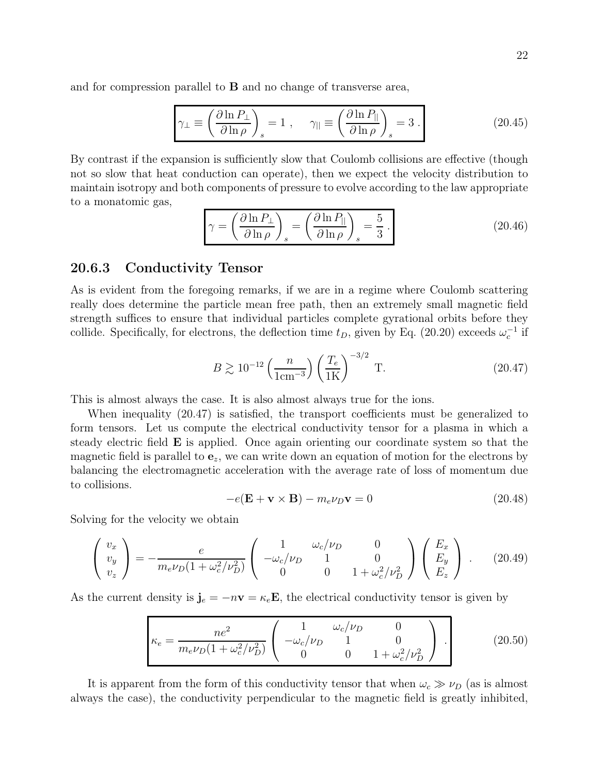and for compression parallel to B and no change of transverse area,

$$
\gamma_{\perp} \equiv \left(\frac{\partial \ln P_{\perp}}{\partial \ln \rho}\right)_{s} = 1 , \quad \gamma_{\parallel} \equiv \left(\frac{\partial \ln P_{\parallel}}{\partial \ln \rho}\right)_{s} = 3 . \tag{20.45}
$$

By contrast if the expansion is sufficiently slow that Coulomb collisions are effective (though not so slow that heat conduction can operate), then we expect the velocity distribution to maintain isotropy and both components of pressure to evolve according to the law appropriate to a monatomic gas,

$$
\gamma = \left(\frac{\partial \ln P_{\perp}}{\partial \ln \rho}\right)_{s} = \left(\frac{\partial \ln P_{\parallel}}{\partial \ln \rho}\right)_{s} = \frac{5}{3}.
$$
\n(20.46)

#### 20.6.3 Conductivity Tensor

As is evident from the foregoing remarks, if we are in a regime where Coulomb scattering really does determine the particle mean free path, then an extremely small magnetic field strength suffices to ensure that individual particles complete gyrational orbits before they collide. Specifically, for electrons, the deflection time  $t_D$ , given by Eq. (20.20) exceeds  $\omega_c^{-1}$  if

$$
B \gtrsim 10^{-12} \left(\frac{n}{1 \text{cm}^{-3}}\right) \left(\frac{T_e}{1 \text{K}}\right)^{-3/2} \text{ T.}
$$
 (20.47)

This is almost always the case. It is also almost always true for the ions.

When inequality (20.47) is satisfied, the transport coefficients must be generalized to form tensors. Let us compute the electrical conductivity tensor for a plasma in which a steady electric field E is applied. Once again orienting our coordinate system so that the magnetic field is parallel to  $e_z$ , we can write down an equation of motion for the electrons by balancing the electromagnetic acceleration with the average rate of loss of momentum due to collisions.

$$
-e(\mathbf{E} + \mathbf{v} \times \mathbf{B}) - m_e \nu_D \mathbf{v} = 0 \tag{20.48}
$$

Solving for the velocity we obtain

$$
\begin{pmatrix} v_x \\ v_y \\ v_z \end{pmatrix} = -\frac{e}{m_e \nu_D (1 + \omega_c^2 / \nu_D^2)} \begin{pmatrix} 1 & \omega_c / \nu_D & 0 \\ -\omega_c / \nu_D & 1 & 0 \\ 0 & 0 & 1 + \omega_c^2 / \nu_D^2 \end{pmatrix} \begin{pmatrix} E_x \\ E_y \\ E_z \end{pmatrix} . \tag{20.49}
$$

As the current density is  $\mathbf{j}_e = -n\mathbf{v} = \kappa_e \mathbf{E}$ , the electrical conductivity tensor is given by

$$
\kappa_e = \frac{ne^2}{m_e \nu_D (1 + \omega_c^2 / \nu_D^2)} \left( \begin{array}{ccc} 1 & \omega_c / \nu_D & 0 \\ -\omega_c / \nu_D & 1 & 0 \\ 0 & 0 & 1 + \omega_c^2 / \nu_D^2 \end{array} \right) \tag{20.50}
$$

It is apparent from the form of this conductivity tensor that when  $\omega_c \gg \nu_D$  (as is almost always the case), the conductivity perpendicular to the magnetic field is greatly inhibited,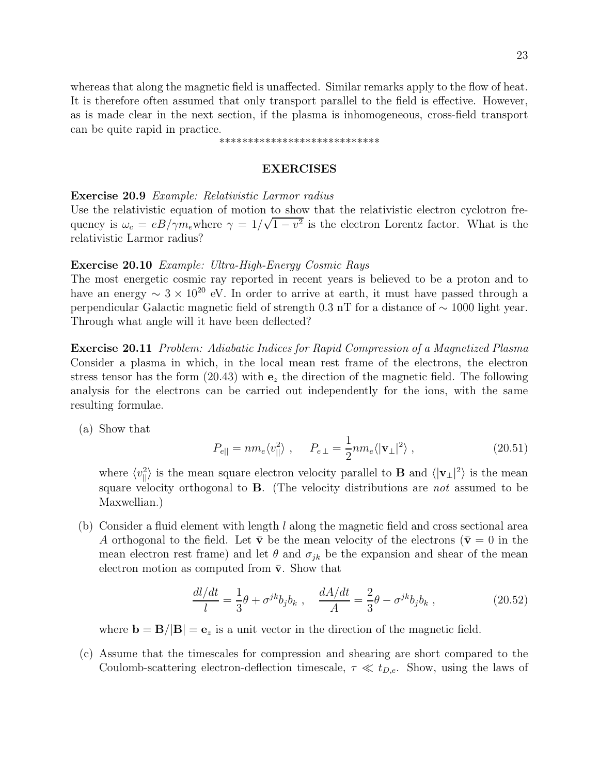whereas that along the magnetic field is unaffected. Similar remarks apply to the flow of heat. It is therefore often assumed that only transport parallel to the field is effective. However, as is made clear in the next section, if the plasma is inhomogeneous, cross-field transport can be quite rapid in practice.

\*\*\*\*\*\*\*\*\*\*\*\*\*\*\*\*\*\*\*\*\*\*\*\*\*\*\*\*

#### EXERCISES

#### Exercise 20.9 Example: Relativistic Larmor radius

Use the relativistic equation of motion to show that the relativistic electron cyclotron frequency is  $\omega_c = eB/\gamma m_e$  where  $\gamma = 1/\sqrt{1 - v^2}$  is the electron Lorentz factor. What is the relativistic Larmor radius?

#### Exercise 20.10 Example: Ultra-High-Energy Cosmic Rays

The most energetic cosmic ray reported in recent years is believed to be a proton and to have an energy  $\sim 3 \times 10^{20}$  eV. In order to arrive at earth, it must have passed through a perpendicular Galactic magnetic field of strength 0.3 nT for a distance of ∼ 1000 light year. Through what angle will it have been deflected?

Exercise 20.11 Problem: Adiabatic Indices for Rapid Compression of a Magnetized Plasma Consider a plasma in which, in the local mean rest frame of the electrons, the electron stress tensor has the form (20.43) with  $e<sub>z</sub>$  the direction of the magnetic field. The following analysis for the electrons can be carried out independently for the ions, with the same resulting formulae.

(a) Show that

$$
P_{e||} = nm_e \langle v_{||}^2 \rangle \ , \quad P_{e\perp} = \frac{1}{2} nm_e \langle |\mathbf{v}_{\perp}|^2 \rangle \ , \tag{20.51}
$$

where  $\langle v_{||}^2 \rangle$  is the mean square electron velocity parallel to **B** and  $\langle |\mathbf{v}_\perp|^2 \rangle$  is the mean square velocity orthogonal to **B**. (The velocity distributions are *not* assumed to be Maxwellian.)

(b) Consider a fluid element with length l along the magnetic field and cross sectional area A orthogonal to the field. Let  $\bar{v}$  be the mean velocity of the electrons ( $\bar{v} = 0$  in the mean electron rest frame) and let  $\theta$  and  $\sigma_{jk}$  be the expansion and shear of the mean electron motion as computed from  $\bar{v}$ . Show that

$$
\frac{dl/dt}{l} = \frac{1}{3}\theta + \sigma^{jk}b_j b_k \ , \quad \frac{dA/dt}{A} = \frac{2}{3}\theta - \sigma^{jk}b_j b_k \ , \tag{20.52}
$$

where  $\mathbf{b} = \mathbf{B}/|\mathbf{B}| = \mathbf{e}_z$  is a unit vector in the direction of the magnetic field.

(c) Assume that the timescales for compression and shearing are short compared to the Coulomb-scattering electron-deflection timescale,  $\tau \ll t_{D,e}$ . Show, using the laws of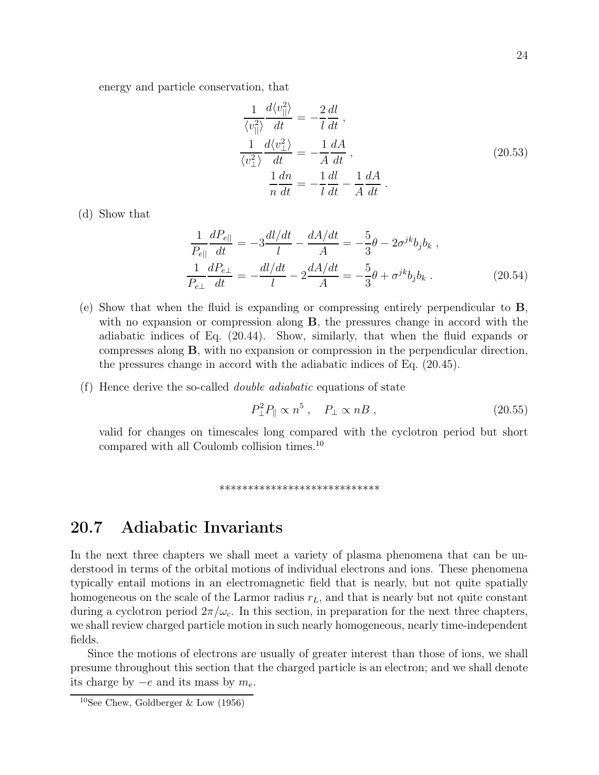energy and particle conservation, that

$$
\frac{1}{\langle v_{||}^2 \rangle} \frac{d\langle v_{||}^2 \rangle}{dt} = -\frac{2}{l} \frac{dl}{dt},
$$
\n
$$
\frac{1}{\langle v_{\perp}^2 \rangle} \frac{d\langle v_{\perp}^2 \rangle}{dt} = -\frac{1}{A} \frac{dA}{dt},
$$
\n
$$
\frac{1}{n} \frac{dn}{dt} = -\frac{1}{l} \frac{dl}{dt} - \frac{1}{A} \frac{dA}{dt}.
$$
\n(20.53)

(d) Show that

$$
\frac{1}{P_{e||}} \frac{dP_{e||}}{dt} = -3 \frac{dl/dt}{l} - \frac{dA/dt}{A} = -\frac{5}{3} \theta - 2\sigma^{jk} b_j b_k ,
$$
  

$$
\frac{1}{P_{e\perp}} \frac{dP_{e\perp}}{dt} = -\frac{dl/dt}{l} - 2\frac{dA/dt}{A} = -\frac{5}{3} \theta + \sigma^{jk} b_j b_k .
$$
 (20.54)

- (e) Show that when the fluid is expanding or compressing entirely perpendicular to B, with no expansion or compression along **B**, the pressures change in accord with the adiabatic indices of Eq. (20.44). Show, similarly, that when the fluid expands or compresses along B, with no expansion or compression in the perpendicular direction, the pressures change in accord with the adiabatic indices of Eq. (20.45).
- (f) Hence derive the so-called double adiabatic equations of state

$$
P_{\perp}^2 P_{\parallel} \propto n^5 \ , \quad P_{\perp} \propto nB \ , \tag{20.55}
$$

valid for changes on timescales long compared with the cyclotron period but short compared with all Coulomb collision times.<sup>10</sup>

\*\*\*\*\*\*\*\*\*\*\*\*\*\*\*\*\*\*\*\*\*\*\*\*\*\*\*\*

## 20.7 Adiabatic Invariants

In the next three chapters we shall meet a variety of plasma phenomena that can be understood in terms of the orbital motions of individual electrons and ions. These phenomena typically entail motions in an electromagnetic field that is nearly, but not quite spatially homogeneous on the scale of the Larmor radius  $r<sub>L</sub>$ , and that is nearly but not quite constant during a cyclotron period  $2\pi/\omega_c$ . In this section, in preparation for the next three chapters, we shall review charged particle motion in such nearly homogeneous, nearly time-independent fields.

Since the motions of electrons are usually of greater interest than those of ions, we shall presume throughout this section that the charged particle is an electron; and we shall denote its charge by  $-e$  and its mass by  $m_e$ .

<sup>&</sup>lt;sup>10</sup>See Chew, Goldberger & Low  $(1956)$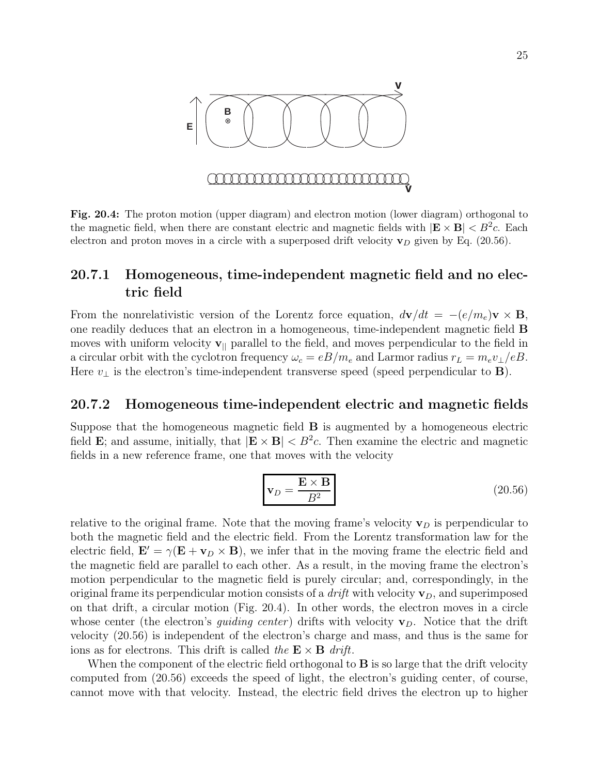

Fig. 20.4: The proton motion (upper diagram) and electron motion (lower diagram) orthogonal to the magnetic field, when there are constant electric and magnetic fields with  $|\mathbf{E} \times \mathbf{B}| < B^2c$ . Each electron and proton moves in a circle with a superposed drift velocity  $\mathbf{v}_D$  given by Eq. (20.56).

### 20.7.1 Homogeneous, time-independent magnetic field and no electric field

From the nonrelativistic version of the Lorentz force equation,  $d\mathbf{v}/dt = -(e/m_e)\mathbf{v} \times \mathbf{B}$ , one readily deduces that an electron in a homogeneous, time-independent magnetic field B moves with uniform velocity  $\mathbf{v}_{\parallel}$  parallel to the field, and moves perpendicular to the field in a circular orbit with the cyclotron frequency  $\omega_c = eB/m_e$  and Larmor radius  $r_L = m_e v_\perp/eB$ . Here  $v_{\perp}$  is the electron's time-independent transverse speed (speed perpendicular to **B**).

#### 20.7.2 Homogeneous time-independent electric and magnetic fields

Suppose that the homogeneous magnetic field B is augmented by a homogeneous electric field **E**; and assume, initially, that  $|\mathbf{E} \times \mathbf{B}| < B^2c$ . Then examine the electric and magnetic fields in a new reference frame, one that moves with the velocity

$$
\mathbf{v}_D = \frac{\mathbf{E} \times \mathbf{B}}{B^2} \tag{20.56}
$$

relative to the original frame. Note that the moving frame's velocity  $\mathbf{v}_D$  is perpendicular to both the magnetic field and the electric field. From the Lorentz transformation law for the electric field,  $\mathbf{E}' = \gamma(\mathbf{E} + \mathbf{v}_D \times \mathbf{B})$ , we infer that in the moving frame the electric field and the magnetic field are parallel to each other. As a result, in the moving frame the electron's motion perpendicular to the magnetic field is purely circular; and, correspondingly, in the original frame its perpendicular motion consists of a *drift* with velocity  $\mathbf{v}_D$ , and superimposed on that drift, a circular motion (Fig. 20.4). In other words, the electron moves in a circle whose center (the electron's *guiding center*) drifts with velocity  $\mathbf{v}_D$ . Notice that the drift velocity (20.56) is independent of the electron's charge and mass, and thus is the same for ions as for electrons. This drift is called the  $\mathbf{E} \times \mathbf{B}$  drift.

When the component of the electric field orthogonal to  $B$  is so large that the drift velocity computed from (20.56) exceeds the speed of light, the electron's guiding center, of course, cannot move with that velocity. Instead, the electric field drives the electron up to higher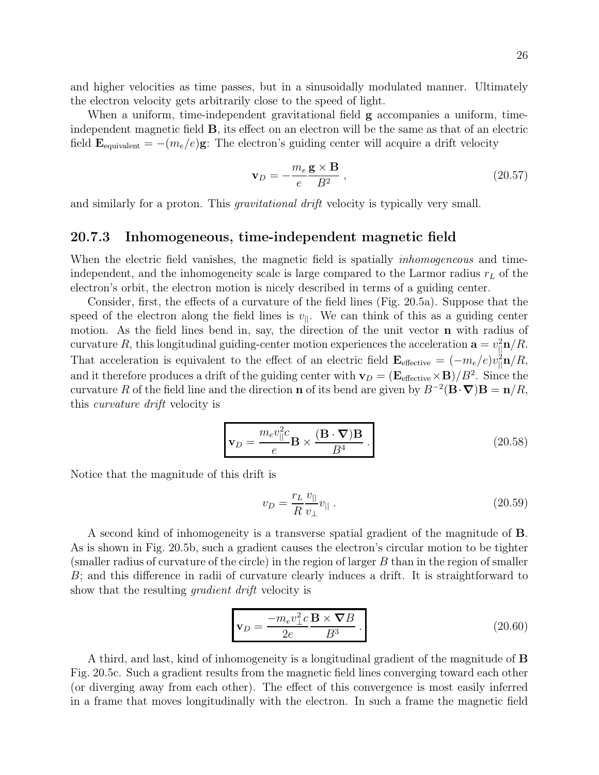and higher velocities as time passes, but in a sinusoidally modulated manner. Ultimately the electron velocity gets arbitrarily close to the speed of light.

When a uniform, time-independent gravitational field  $g$  accompanies a uniform, timeindependent magnetic field B, its effect on an electron will be the same as that of an electric field  $\mathbf{E}_{\text{equivalent}} = -(m_e/e)\mathbf{g}$ : The electron's guiding center will acquire a drift velocity

$$
\mathbf{v}_D = -\frac{m_e}{e} \frac{\mathbf{g} \times \mathbf{B}}{B^2} \,, \tag{20.57}
$$

and similarly for a proton. This *gravitational drift* velocity is typically very small.

#### 20.7.3 Inhomogeneous, time-independent magnetic field

When the electric field vanishes, the magnetic field is spatially *inhomogeneous* and timeindependent, and the inhomogeneity scale is large compared to the Larmor radius  $r<sub>L</sub>$  of the electron's orbit, the electron motion is nicely described in terms of a guiding center.

Consider, first, the effects of a curvature of the field lines (Fig. 20.5a). Suppose that the speed of the electron along the field lines is  $v_{\parallel}$ . We can think of this as a guiding center motion. As the field lines bend in, say, the direction of the unit vector **n** with radius of curvature R, this longitudinal guiding-center motion experiences the acceleration  $\mathbf{a} = v_{\parallel}^2 \mathbf{n}/R$ . That acceleration is equivalent to the effect of an electric field  $\mathbf{E}_{\text{effective}} = (-m_e/e)v_{\parallel}^2 \mathbf{n}/R$ , and it therefore produces a drift of the guiding center with  $\mathbf{v}_D = (\mathbf{E}_{\text{effective}} \times \mathbf{B})/B^2$ . Since the curvature R of the field line and the direction **n** of its bend are given by  $B^{-2}(\mathbf{B}\cdot\mathbf{\nabla})\mathbf{B} = \mathbf{n}/R$ , this curvature drift velocity is

$$
\mathbf{v}_D = \frac{m_e v_{\parallel}^2 c}{e} \mathbf{B} \times \frac{(\mathbf{B} \cdot \nabla)\mathbf{B}}{B^4} \,. \tag{20.58}
$$

Notice that the magnitude of this drift is

$$
v_D = \frac{r_L}{R} \frac{v_{\parallel}}{v_{\perp}} v_{\parallel} \,. \tag{20.59}
$$

A second kind of inhomogeneity is a transverse spatial gradient of the magnitude of B. As is shown in Fig. 20.5b, such a gradient causes the electron's circular motion to be tighter (smaller radius of curvature of the circle) in the region of larger  $B$  than in the region of smaller B; and this difference in radii of curvature clearly induces a drift. It is straightforward to show that the resulting *gradient drift* velocity is

$$
\mathbf{v}_D = \frac{-m_e v_\perp^2 c}{2e} \frac{\mathbf{B} \times \nabla B}{B^3} \,. \tag{20.60}
$$

A third, and last, kind of inhomogeneity is a longitudinal gradient of the magnitude of B Fig. 20.5c. Such a gradient results from the magnetic field lines converging toward each other (or diverging away from each other). The effect of this convergence is most easily inferred in a frame that moves longitudinally with the electron. In such a frame the magnetic field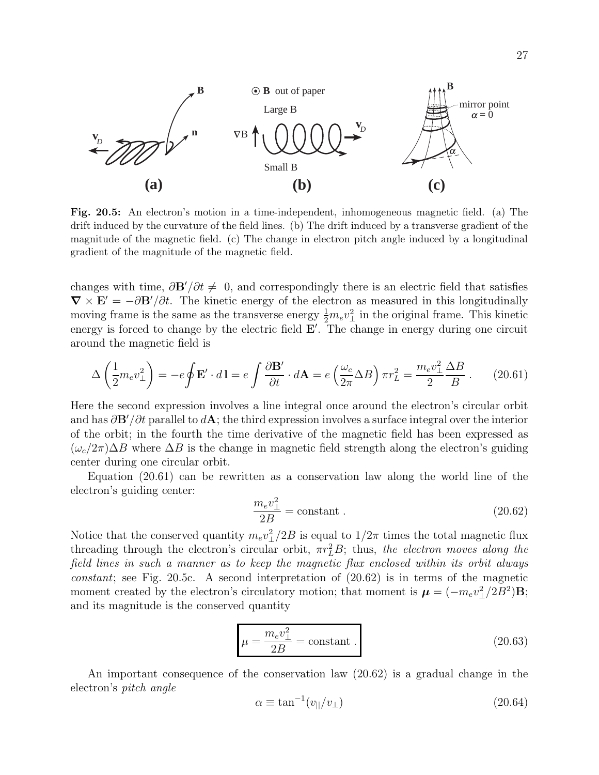

Fig. 20.5: An electron's motion in a time-independent, inhomogeneous magnetic field. (a) The drift induced by the curvature of the field lines. (b) The drift induced by a transverse gradient of the magnitude of the magnetic field. (c) The change in electron pitch angle induced by a longitudinal gradient of the magnitude of the magnetic field.

changes with time,  $\partial \mathbf{B}'/\partial t \neq 0$ , and correspondingly there is an electric field that satisfies  $\nabla \times \mathbf{E}' = -\partial \mathbf{B}'/\partial t$ . The kinetic energy of the electron as measured in this longitudinally moving frame is the same as the transverse energy  $\frac{1}{2}m_e v_\perp^2$  in the original frame. This kinetic energy is forced to change by the electric field **E'**. The change in energy during one circuit around the magnetic field is

$$
\Delta\left(\frac{1}{2}m_e v_\perp^2\right) = -e\oint \mathbf{E}' \cdot d\mathbf{l} = e\int \frac{\partial \mathbf{B}'}{\partial t} \cdot d\mathbf{A} = e\left(\frac{\omega_c}{2\pi} \Delta B\right) \pi r_L^2 = \frac{m_e v_\perp^2}{2} \frac{\Delta B}{B} \,. \tag{20.61}
$$

Here the second expression involves a line integral once around the electron's circular orbit and has  $\partial \mathbf{B}'/\partial t$  parallel to  $d\mathbf{A}$ ; the third expression involves a surface integral over the interior of the orbit; in the fourth the time derivative of the magnetic field has been expressed as  $(\omega_c/2\pi)\Delta B$  where  $\Delta B$  is the change in magnetic field strength along the electron's guiding center during one circular orbit.

Equation (20.61) can be rewritten as a conservation law along the world line of the electron's guiding center:

$$
\frac{m_e v_\perp^2}{2B} = \text{constant} \tag{20.62}
$$

Notice that the conserved quantity  $m_e v_\perp^2/2B$  is equal to  $1/2\pi$  times the total magnetic flux threading through the electron's circular orbit,  $\pi r_L^2 B$ ; thus, the electron moves along the field lines in such a manner as to keep the magnetic flux enclosed within its orbit always constant; see Fig. 20.5c. A second interpretation of (20.62) is in terms of the magnetic moment created by the electron's circulatory motion; that moment is  $\mu = (-m_e v_\perp^2/2B^2)B$ ; and its magnitude is the conserved quantity

$$
\mu = \frac{m_e v_\perp^2}{2B} = \text{constant} . \tag{20.63}
$$

An important consequence of the conservation law (20.62) is a gradual change in the electron's pitch angle

$$
\alpha \equiv \tan^{-1}(v_{\parallel}/v_{\perp}) \tag{20.64}
$$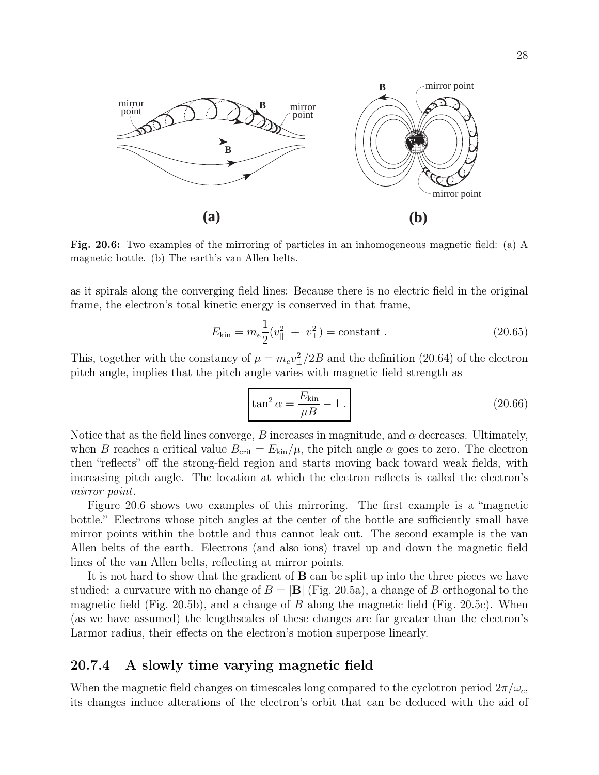

Fig. 20.6: Two examples of the mirroring of particles in an inhomogeneous magnetic field: (a) A magnetic bottle. (b) The earth's van Allen belts.

as it spirals along the converging field lines: Because there is no electric field in the original frame, the electron's total kinetic energy is conserved in that frame,

$$
E_{\rm kin} = m_e \frac{1}{2} (v_{\parallel}^2 + v_{\perp}^2) = \text{constant} \ . \tag{20.65}
$$

This, together with the constancy of  $\mu = m_e v_\perp^2 / 2B$  and the definition (20.64) of the electron pitch angle, implies that the pitch angle varies with magnetic field strength as

$$
\tan^2 \alpha = \frac{E_{\rm kin}}{\mu B} - 1.
$$
 (20.66)

Notice that as the field lines converge, B increases in magnitude, and  $\alpha$  decreases. Ultimately, when B reaches a critical value  $B_{\text{crit}} = E_{\text{kin}}/\mu$ , the pitch angle  $\alpha$  goes to zero. The electron then "reflects" off the strong-field region and starts moving back toward weak fields, with increasing pitch angle. The location at which the electron reflects is called the electron's mirror point.

Figure 20.6 shows two examples of this mirroring. The first example is a "magnetic bottle." Electrons whose pitch angles at the center of the bottle are sufficiently small have mirror points within the bottle and thus cannot leak out. The second example is the van Allen belts of the earth. Electrons (and also ions) travel up and down the magnetic field lines of the van Allen belts, reflecting at mirror points.

It is not hard to show that the gradient of B can be split up into the three pieces we have studied: a curvature with no change of  $B = |{\bf B}|$  (Fig. 20.5a), a change of B orthogonal to the magnetic field (Fig. 20.5b), and a change of B along the magnetic field (Fig. 20.5c). When (as we have assumed) the lengthscales of these changes are far greater than the electron's Larmor radius, their effects on the electron's motion superpose linearly.

### 20.7.4 A slowly time varying magnetic field

When the magnetic field changes on timescales long compared to the cyclotron period  $2\pi/\omega_c$ , its changes induce alterations of the electron's orbit that can be deduced with the aid of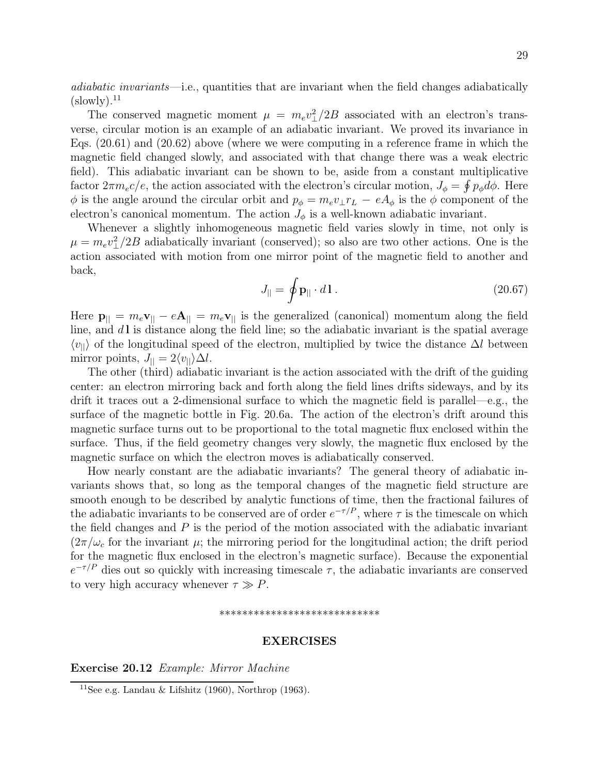adiabatic invariants—i.e., quantities that are invariant when the field changes adiabatically  $(slowly).<sup>11</sup>$ 

The conserved magnetic moment  $\mu = m_e v_\perp^2/2B$  associated with an electron's transverse, circular motion is an example of an adiabatic invariant. We proved its invariance in Eqs. (20.61) and (20.62) above (where we were computing in a reference frame in which the magnetic field changed slowly, and associated with that change there was a weak electric field). This adiabatic invariant can be shown to be, aside from a constant multiplicative factor  $2\pi m_e c/e$ , the action associated with the electron's circular motion,  $J_\phi = \oint p_\phi d\phi$ . Here  $\phi$  is the angle around the circular orbit and  $p_{\phi} = m_e v_{\perp} r_L - e A_{\phi}$  is the  $\phi$  component of the electron's canonical momentum. The action  $J_{\phi}$  is a well-known adiabatic invariant.

Whenever a slightly inhomogeneous magnetic field varies slowly in time, not only is  $\mu = m_e v_\perp^2 / 2B$  adiabatically invariant (conserved); so also are two other actions. One is the action associated with motion from one mirror point of the magnetic field to another and back,

$$
J_{\parallel} = \oint \mathbf{p}_{\parallel} \cdot d\mathbf{1} \,. \tag{20.67}
$$

Here  $\mathbf{p}_{\parallel} = m_e \mathbf{v}_{\parallel} - e\mathbf{A}_{\parallel} = m_e \mathbf{v}_{\parallel}$  is the generalized (canonical) momentum along the field line, and  $d\mathbf{l}$  is distance along the field line; so the adiabatic invariant is the spatial average  $\langle v_{\parallel} \rangle$  of the longitudinal speed of the electron, multiplied by twice the distance  $\Delta l$  between mirror points,  $J_{\parallel} = 2 \langle v_{\parallel} \rangle \Delta l$ .

The other (third) adiabatic invariant is the action associated with the drift of the guiding center: an electron mirroring back and forth along the field lines drifts sideways, and by its drift it traces out a 2-dimensional surface to which the magnetic field is parallel—e.g., the surface of the magnetic bottle in Fig. 20.6a. The action of the electron's drift around this magnetic surface turns out to be proportional to the total magnetic flux enclosed within the surface. Thus, if the field geometry changes very slowly, the magnetic flux enclosed by the magnetic surface on which the electron moves is adiabatically conserved.

How nearly constant are the adiabatic invariants? The general theory of adiabatic invariants shows that, so long as the temporal changes of the magnetic field structure are smooth enough to be described by analytic functions of time, then the fractional failures of the adiabatic invariants to be conserved are of order  $e^{-\tau/P}$ , where  $\tau$  is the timescale on which the field changes and  $P$  is the period of the motion associated with the adiabatic invariant  $(2\pi/\omega_c)$  for the invariant  $\mu$ ; the mirroring period for the longitudinal action; the drift period for the magnetic flux enclosed in the electron's magnetic surface). Because the exponential  $e^{-\tau/P}$  dies out so quickly with increasing timescale  $\tau$ , the adiabatic invariants are conserved to very high accuracy whenever  $\tau \gg P$ .

#### \*\*\*\*\*\*\*\*\*\*\*\*\*\*\*\*\*\*\*\*\*\*\*\*\*\*\*\*

#### EXERCISES

#### Exercise 20.12 Example: Mirror Machine

<sup>&</sup>lt;sup>11</sup>See e.g. Landau & Lifshitz (1960), Northrop (1963).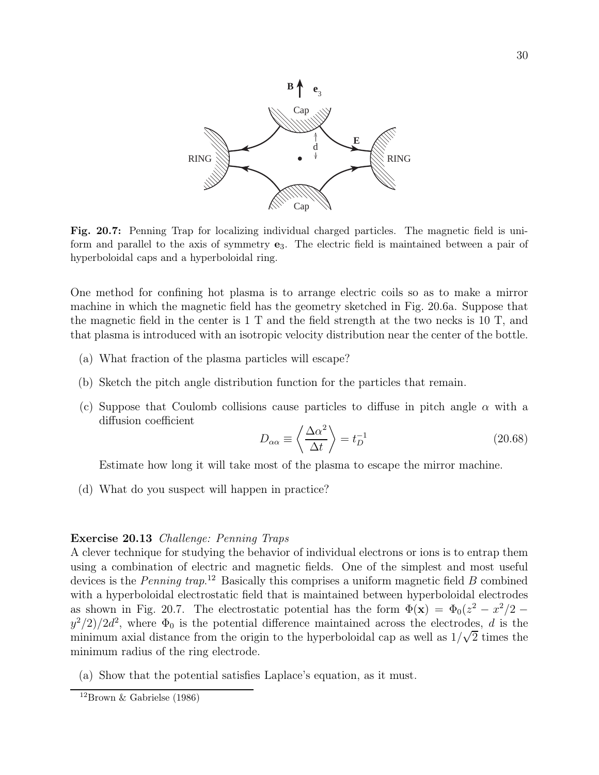

Fig. 20.7: Penning Trap for localizing individual charged particles. The magnetic field is uniform and parallel to the axis of symmetry  $e_3$ . The electric field is maintained between a pair of hyperboloidal caps and a hyperboloidal ring.

One method for confining hot plasma is to arrange electric coils so as to make a mirror machine in which the magnetic field has the geometry sketched in Fig. 20.6a. Suppose that the magnetic field in the center is 1 T and the field strength at the two necks is 10 T, and that plasma is introduced with an isotropic velocity distribution near the center of the bottle.

- (a) What fraction of the plasma particles will escape?
- (b) Sketch the pitch angle distribution function for the particles that remain.
- (c) Suppose that Coulomb collisions cause particles to diffuse in pitch angle  $\alpha$  with a diffusion coefficient

$$
D_{\alpha\alpha} \equiv \left\langle \frac{\Delta\alpha^2}{\Delta t} \right\rangle = t_D^{-1}
$$
 (20.68)

Estimate how long it will take most of the plasma to escape the mirror machine.

(d) What do you suspect will happen in practice?

#### Exercise 20.13 Challenge: Penning Traps

A clever technique for studying the behavior of individual electrons or ions is to entrap them using a combination of electric and magnetic fields. One of the simplest and most useful devices is the *Penning trap*.<sup>12</sup> Basically this comprises a uniform magnetic field  $B$  combined with a hyperboloidal electrostatic field that is maintained between hyperboloidal electrodes as shown in Fig. 20.7. The electrostatic potential has the form  $\Phi(\mathbf{x}) = \Phi_0(z^2 - x^2/2 - z^2/2)$  $y^2/2)/2d^2$ , where  $\Phi_0$  is the potential difference maintained across the electrodes, d is the minimum axial distance from the origin to the hyperboloidal cap as well as  $1/\sqrt{2}$  times the minimum radius of the ring electrode.

(a) Show that the potential satisfies Laplace's equation, as it must.

 $12$ Brown & Gabrielse  $(1986)$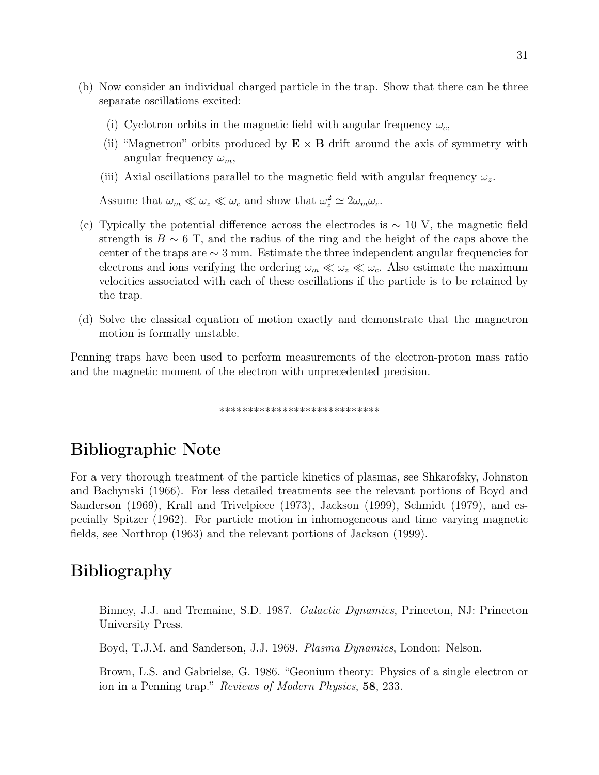- (b) Now consider an individual charged particle in the trap. Show that there can be three separate oscillations excited:
	- (i) Cyclotron orbits in the magnetic field with angular frequency  $\omega_c$ ,
	- (ii) "Magnetron" orbits produced by  $\mathbf{E} \times \mathbf{B}$  drift around the axis of symmetry with angular frequency  $\omega_m$ ,
	- (iii) Axial oscillations parallel to the magnetic field with angular frequency  $\omega_z$ .

Assume that  $\omega_m \ll \omega_z \ll \omega_c$  and show that  $\omega_z^2 \simeq 2\omega_m\omega_c$ .

- (c) Typically the potential difference across the electrodes is  $\sim$  10 V, the magnetic field strength is  $B \sim 6$  T, and the radius of the ring and the height of the caps above the center of the traps are ∼ 3 mm. Estimate the three independent angular frequencies for electrons and ions verifying the ordering  $\omega_m \ll \omega_z \ll \omega_c$ . Also estimate the maximum velocities associated with each of these oscillations if the particle is to be retained by the trap.
- (d) Solve the classical equation of motion exactly and demonstrate that the magnetron motion is formally unstable.

Penning traps have been used to perform measurements of the electron-proton mass ratio and the magnetic moment of the electron with unprecedented precision.

\*\*\*\*\*\*\*\*\*\*\*\*\*\*\*\*\*\*\*\*\*\*\*\*\*\*\*\*

# Bibliographic Note

For a very thorough treatment of the particle kinetics of plasmas, see Shkarofsky, Johnston and Bachynski (1966). For less detailed treatments see the relevant portions of Boyd and Sanderson (1969), Krall and Trivelpiece (1973), Jackson (1999), Schmidt (1979), and especially Spitzer (1962). For particle motion in inhomogeneous and time varying magnetic fields, see Northrop (1963) and the relevant portions of Jackson (1999).

# Bibliography

Binney, J.J. and Tremaine, S.D. 1987. Galactic Dynamics, Princeton, NJ: Princeton University Press.

Boyd, T.J.M. and Sanderson, J.J. 1969. Plasma Dynamics, London: Nelson.

Brown, L.S. and Gabrielse, G. 1986. "Geonium theory: Physics of a single electron or ion in a Penning trap." Reviews of Modern Physics, 58, 233.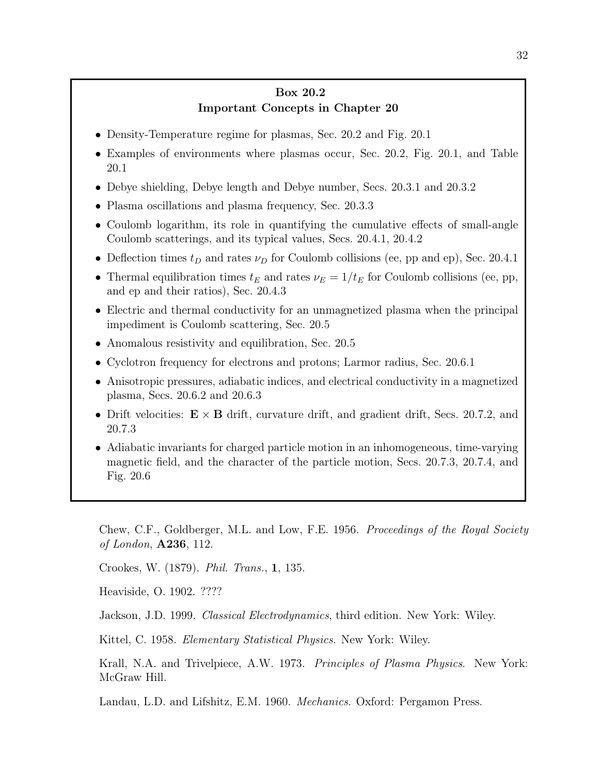#### Box 20.2 Important Concepts in Chapter 20

- Density-Temperature regime for plasmas, Sec. 20.2 and Fig. 20.1
- Examples of environments where plasmas occur, Sec. 20.2, Fig. 20.1, and Table 20.1
- Debye shielding, Debye length and Debye number, Secs. 20.3.1 and 20.3.2
- Plasma oscillations and plasma frequency, Sec. 20.3.3
- Coulomb logarithm, its role in quantifying the cumulative effects of small-angle Coulomb scatterings, and its typical values, Secs. 20.4.1, 20.4.2
- Deflection times  $t_D$  and rates  $\nu_D$  for Coulomb collisions (ee, pp and ep), Sec. 20.4.1
- Thermal equilibration times  $t_E$  and rates  $\nu_E = 1/t_E$  for Coulomb collisions (ee, pp, and ep and their ratios), Sec. 20.4.3
- Electric and thermal conductivity for an unmagnetized plasma when the principal impediment is Coulomb scattering, Sec. 20.5
- Anomalous resistivity and equilibration, Sec. 20.5
- Cyclotron frequency for electrons and protons; Larmor radius, Sec. 20.6.1
- Anisotropic pressures, adiabatic indices, and electrical conductivity in a magnetized plasma, Secs. 20.6.2 and 20.6.3
- Drift velocities:  $\mathbf{E} \times \mathbf{B}$  drift, curvature drift, and gradient drift, Secs. 20.7.2, and 20.7.3
- Adiabatic invariants for charged particle motion in an inhomogeneous, time-varying magnetic field, and the character of the particle motion, Secs. 20.7.3, 20.7.4, and Fig. 20.6

Chew, C.F., Goldberger, M.L. and Low, F.E. 1956. Proceedings of the Royal Society of London, A236, 112.

Crookes, W. (1879). Phil. Trans., 1, 135.

Heaviside, O. 1902. ????

Jackson, J.D. 1999. Classical Electrodynamics, third edition. New York: Wiley.

Kittel, C. 1958. Elementary Statistical Physics. New York: Wiley.

Krall, N.A. and Trivelpiece, A.W. 1973. Principles of Plasma Physics. New York: McGraw Hill.

Landau, L.D. and Lifshitz, E.M. 1960. Mechanics. Oxford: Pergamon Press.